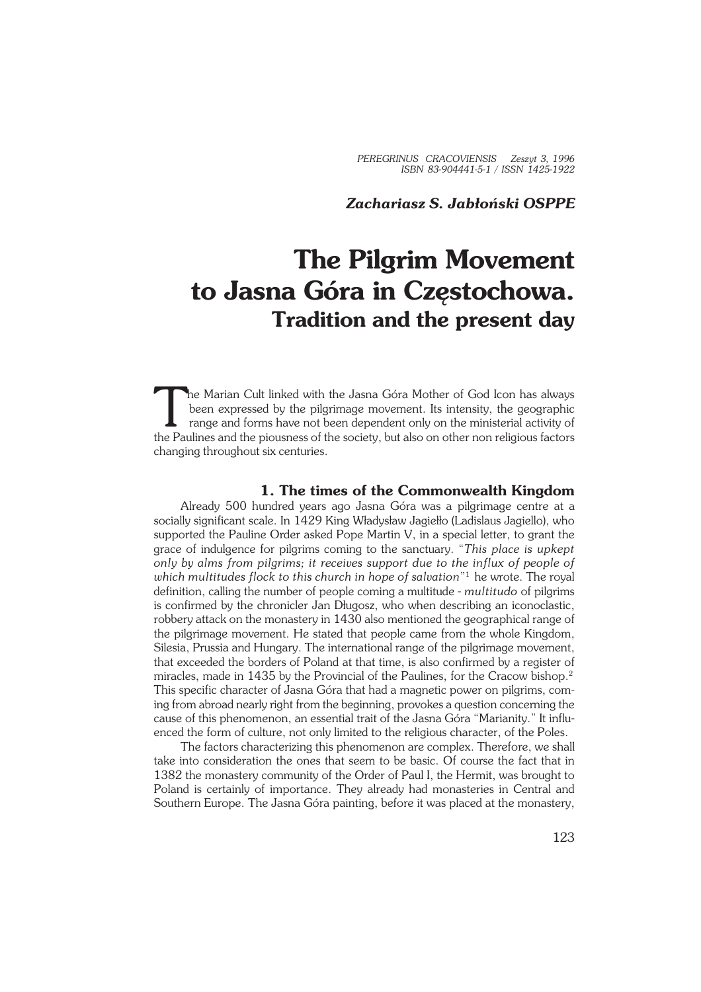## *Zachariasz S. Jabłoński OSPPE*

# **The Pilgrim Movement to Jasna Góra in Częstochowa. Tradition and the present day**

The Marian Cult linked with the Jasna Góra Mother of God Icon has always<br>been expressed by the pilgrimage movement. Its intensity, the geographic<br>range and forms have not been dependent only on the ministerial activity of<br> he Marian Cult linked with the Jasna Góra Mother of God Icon has always been expressed by the pilgrimage movement. Its intensity, the geographic range and forms have not been dependent only on the ministerial activity of changing throughout six centuries.

## **1. The times of the Commonwealth Kingdom**

Already 500 hundred years ago Jasna Góra was a pilgrimage centre at a socially significant scale. In 1429 King Władysław Jagiełło (Ladislaus Jagiello), who supported the Pauline Order asked Pope Martin V, in a special letter, to grant the grace of indulgence for pilgrims coming to the sanctuary. "*This place is upkept only by alms from pilgrims; it receives support due to the influx of people of which multitudes flock to this church in hope of salvation*" 1 he wrote. The royal definition, calling the number of people coming a multitude − *multitudo* of pilgrims is confirmed by the chronicler Jan Długosz, who when describing an iconoclastic, robbery attack on the monastery in 1430 also mentioned the geographical range of the pilgrimage movement. He stated that people came from the whole Kingdom, Silesia, Prussia and Hungary. The international range of the pilgrimage movement, that exceeded the borders of Poland at that time, is also confirmed by a register of miracles, made in 1435 by the Provincial of the Paulines, for the Cracow bishop.<sup>2</sup> This specific character of Jasna Góra that had a magnetic power on pilgrims, com− ing from abroad nearly right from the beginning, provokes a question concerning the cause of this phenomenon, an essential trait of the Jasna Góra "Marianity." It influ− enced the form of culture, not only limited to the religious character, of the Poles.

The factors characterizing this phenomenon are complex. Therefore, we shall take into consideration the ones that seem to be basic. Of course the fact that in 1382 the monastery community of the Order of Paul I, the Hermit, was brought to Poland is certainly of importance. They already had monasteries in Central and Southern Europe. The Jasna Góra painting, before it was placed at the monastery,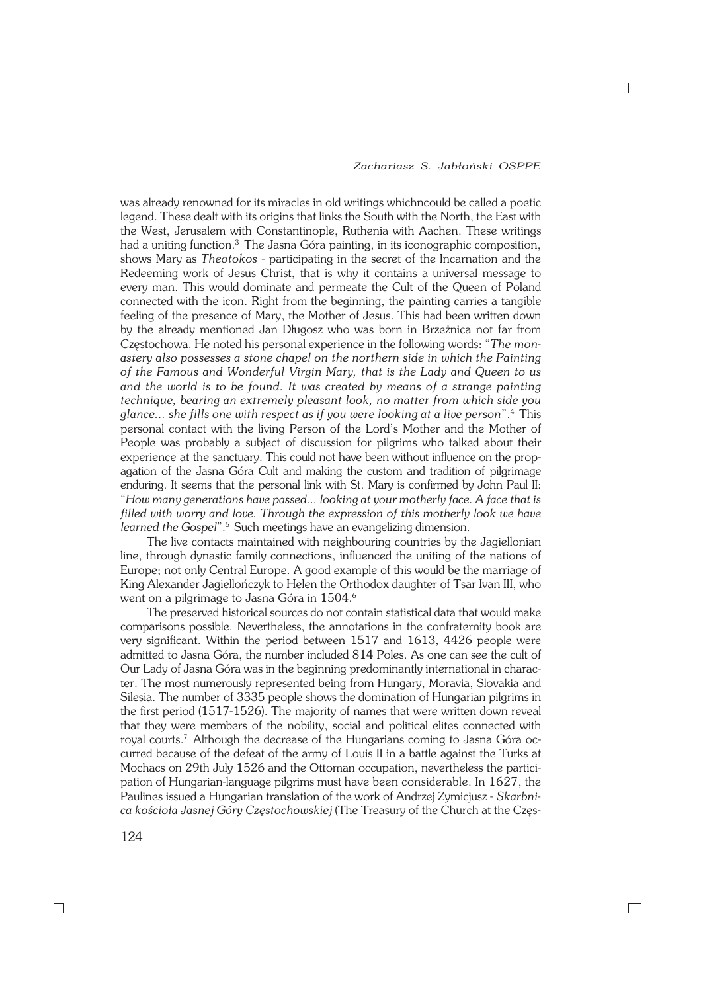*Zachariasz S. Jabłoński OSPPE*

 $\Box$ 

was already renowned for its miracles in old writings whichncould be called a poetic legend. These dealt with its origins that links the South with the North, the East with the West, Jerusalem with Constantinople, Ruthenia with Aachen. These writings had a uniting function.<sup>3</sup> The Jasna Góra painting, in its iconographic composition, shows Mary as *Theotokos* − participating in the secret of the Incarnation and the Redeeming work of Jesus Christ, that is why it contains a universal message to every man. This would dominate and permeate the Cult of the Queen of Poland connected with the icon. Right from the beginning, the painting carries a tangible feeling of the presence of Mary, the Mother of Jesus. This had been written down by the already mentioned Jan Długosz who was born in Brzeżnica not far from Częstochowa. He noted his personal experience in the following words: "*The mon− astery also possesses a stone chapel on the northern side in which the Painting of the Famous and Wonderful Virgin Mary, that is the Lady and Queen to us and the world is to be found. It was created by means of a strange painting technique, bearing an extremely pleasant look, no matter from which side you glance... she fills one with respect as if you were looking at a live person*".<sup>4</sup> This personal contact with the living Person of the Lord's Mother and the Mother of People was probably a subject of discussion for pilgrims who talked about their experience at the sanctuary. This could not have been without influence on the prop− agation of the Jasna Góra Cult and making the custom and tradition of pilgrimage enduring. It seems that the personal link with St. Mary is confirmed by John Paul II: "*How many generations have passed... looking at your motherly face. A face that is filled with worry and love. Through the expression of this motherly look we have* learned the Gospel".<sup>5</sup> Such meetings have an evangelizing dimension.

The live contacts maintained with neighbouring countries by the Jagiellonian line, through dynastic family connections, influenced the uniting of the nations of Europe; not only Central Europe. A good example of this would be the marriage of King Alexander Jagiellończyk to Helen the Orthodox daughter of Tsar Ivan III, who went on a pilgrimage to Jasna Góra in 1504.<sup>6</sup>

The preserved historical sources do not contain statistical data that would make comparisons possible. Nevertheless, the annotations in the confraternity book are very significant. Within the period between 1517 and 1613, 4426 people were admitted to Jasna Góra, the number included 814 Poles. As one can see the cult of Our Lady of Jasna Góra was in the beginning predominantly international in charac− ter. The most numerously represented being from Hungary, Moravia, Slovakia and Silesia. The number of 3335 people shows the domination of Hungarian pilgrims in the first period (1517−1526). The majority of names that were written down reveal that they were members of the nobility, social and political elites connected with royal courts.<sup>7</sup> Although the decrease of the Hungarians coming to Jasna Góra oc− curred because of the defeat of the army of Louis II in a battle against the Turks at Mochacs on 29th July 1526 and the Ottoman occupation, nevertheless the partici− pation of Hungarian−language pilgrims must have been considerable. In 1627, the Paulines issued a Hungarian translation of the work of Andrzej Zymicjusz − *Skarbni− ca kościoła Jasnej Góry Częstochowskiej* (The Treasury of the Church at the Częs−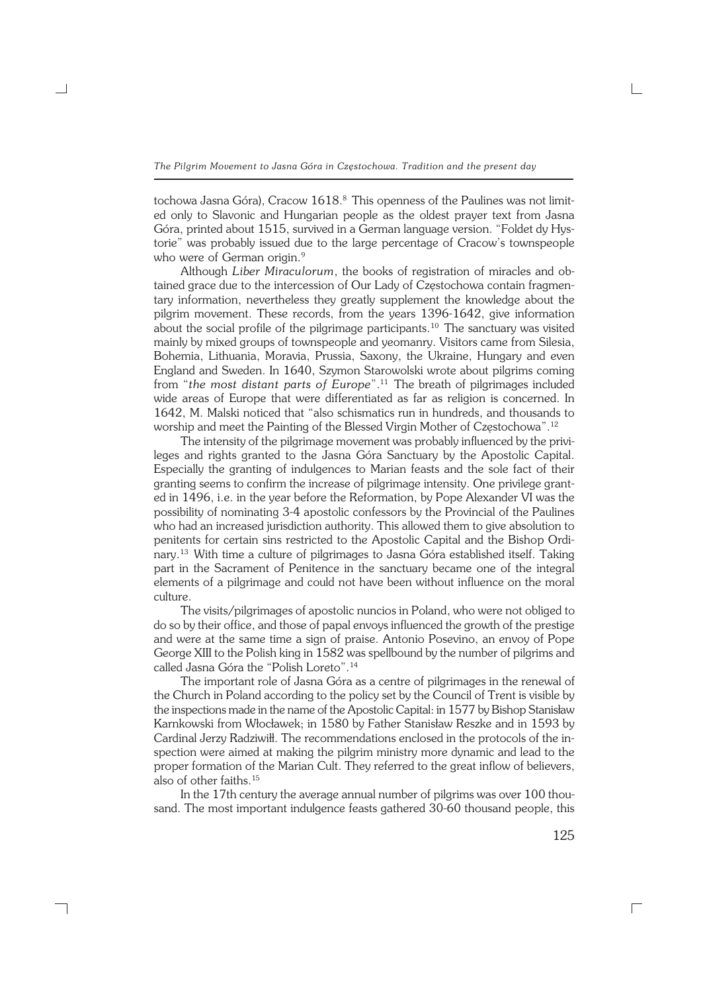tochowa Jasna Góra), Cracow 1618.8 This openness of the Paulines was not limit− ed only to Slavonic and Hungarian people as the oldest prayer text from Jasna Góra, printed about 1515, survived in a German language version. "Foldet dy Hys− torie" was probably issued due to the large percentage of Cracow's townspeople who were of German origin.<sup>9</sup>

Although *Liber Miraculorum*, the books of registration of miracles and ob− tained grace due to the intercession of Our Lady of Częstochowa contain fragmen− tary information, nevertheless they greatly supplement the knowledge about the pilgrim movement. These records, from the years 1396−1642, give information about the social profile of the pilgrimage participants.<sup>10</sup> The sanctuary was visited mainly by mixed groups of townspeople and yeomanry. Visitors came from Silesia, Bohemia, Lithuania, Moravia, Prussia, Saxony, the Ukraine, Hungary and even England and Sweden. In 1640, Szymon Starowolski wrote about pilgrims coming from "*the most distant parts of Europe*".11 The breath of pilgrimages included wide areas of Europe that were differentiated as far as religion is concerned. In 1642, M. Malski noticed that "also schismatics run in hundreds, and thousands to worship and meet the Painting of the Blessed Virgin Mother of Częstochowa".<sup>12</sup>

The intensity of the pilgrimage movement was probably influenced by the privi− leges and rights granted to the Jasna Góra Sanctuary by the Apostolic Capital. Especially the granting of indulgences to Marian feasts and the sole fact of their granting seems to confirm the increase of pilgrimage intensity. One privilege granted in 1496, i.e. in the year before the Reformation, by Pope Alexander VI was the possibility of nominating 3−4 apostolic confessors by the Provincial of the Paulines who had an increased jurisdiction authority. This allowed them to give absolution to penitents for certain sins restricted to the Apostolic Capital and the Bishop Ordi− nary.13 With time a culture of pilgrimages to Jasna Góra established itself. Taking part in the Sacrament of Penitence in the sanctuary became one of the integral elements of a pilgrimage and could not have been without influence on the moral culture.

The visits/pilgrimages of apostolic nuncios in Poland, who were not obliged to do so by their office, and those of papal envoys influenced the growth of the prestige and were at the same time a sign of praise. Antonio Posevino, an envoy of Pope George XIII to the Polish king in 1582 was spellbound by the number of pilgrims and called Jasna Góra the "Polish Loreto".<sup>14</sup>

The important role of Jasna Góra as a centre of pilgrimages in the renewal of the Church in Poland according to the policy set by the Council of Trent is visible by the inspections made in the name of the Apostolic Capital: in 1577 by Bishop Stanisław Karnkowski from Włocławek; in 1580 by Father Stanisław Reszke and in 1593 by Cardinal Jerzy Radziwiłł. The recommendations enclosed in the protocols of the in− spection were aimed at making the pilgrim ministry more dynamic and lead to the proper formation of the Marian Cult. They referred to the great inflow of believers, also of other faiths.<sup>15</sup>

In the 17th century the average annual number of pilgrims was over 100 thou− sand. The most important indulgence feasts gathered 30−60 thousand people, this

┐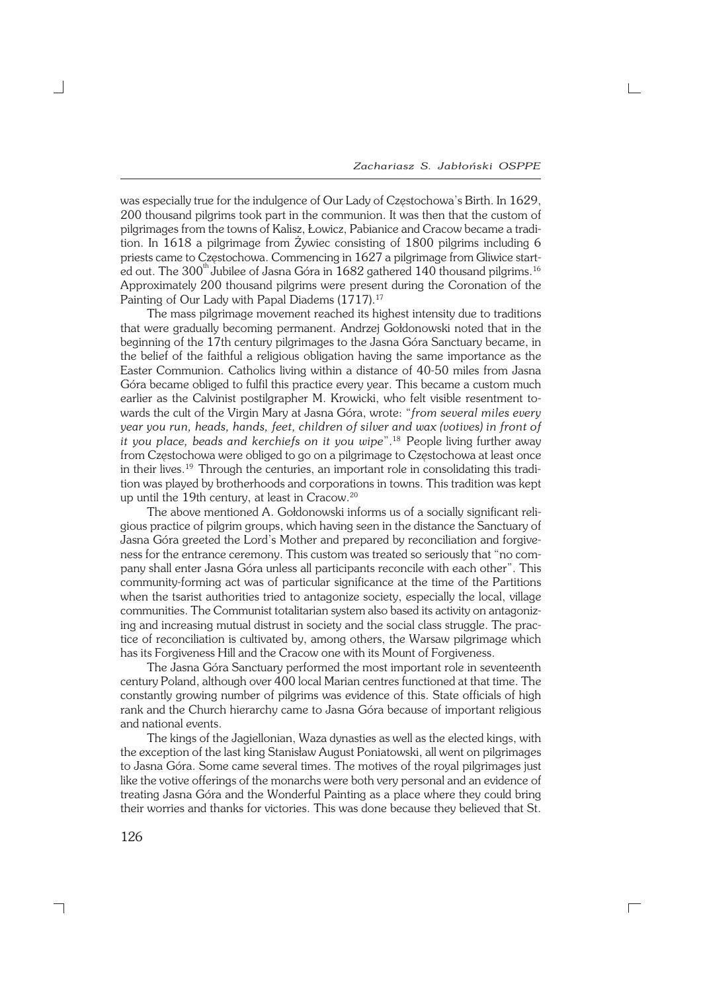was especially true for the indulgence of Our Lady of Częstochowa's Birth. In 1629, 200 thousand pilgrims took part in the communion. It was then that the custom of pilgrimages from the towns of Kalisz, Łowicz, Pabianice and Cracow became a tradi− tion. In 1618 a pilgrimage from Żywiec consisting of 1800 pilgrims including 6 priests came to Częstochowa. Commencing in 1627 a pilgrimage from Gliwice start− ed out. The 300<sup>th</sup> Jubilee of Jasna Góra in 1682 gathered 140 thousand pilgrims.<sup>16</sup> Approximately 200 thousand pilgrims were present during the Coronation of the Painting of Our Lady with Papal Diadems (1717).<sup>17</sup>

The mass pilgrimage movement reached its highest intensity due to traditions that were gradually becoming permanent. Andrzej Gołdonowski noted that in the beginning of the 17th century pilgrimages to the Jasna Góra Sanctuary became, in the belief of the faithful a religious obligation having the same importance as the Easter Communion. Catholics living within a distance of 40−50 miles from Jasna Góra became obliged to fulfil this practice every year. This became a custom much earlier as the Calvinist postilgrapher M. Krowicki, who felt visible resentment towards the cult of the Virgin Mary at Jasna Góra, wrote: "*from several miles every year you run, heads, hands, feet, children of silver and wax (votives) in front of it you place, beads and kerchiefs on it you wipe*".18 People living further away from Częstochowa were obliged to go on a pilgrimage to Częstochowa at least once in their lives.19 Through the centuries, an important role in consolidating this tradi− tion was played by brotherhoods and corporations in towns. This tradition was kept up until the 19th century, at least in Cracow.<sup>20</sup>

The above mentioned A. Gołdonowski informs us of a socially significant reli− gious practice of pilgrim groups, which having seen in the distance the Sanctuary of Jasna Góra greeted the Lord's Mother and prepared by reconciliation and forgive− ness for the entrance ceremony. This custom was treated so seriously that "no com− pany shall enter Jasna Góra unless all participants reconcile with each other". This community−forming act was of particular significance at the time of the Partitions when the tsarist authorities tried to antagonize society, especially the local, village communities. The Communist totalitarian system also based its activity on antagoniz− ing and increasing mutual distrust in society and the social class struggle. The prac− tice of reconciliation is cultivated by, among others, the Warsaw pilgrimage which has its Forgiveness Hill and the Cracow one with its Mount of Forgiveness.

The Jasna Góra Sanctuary performed the most important role in seventeenth century Poland, although over 400 local Marian centres functioned at that time. The constantly growing number of pilgrims was evidence of this. State officials of high rank and the Church hierarchy came to Jasna Góra because of important religious and national events.

The kings of the Jagiellonian, Waza dynasties as well as the elected kings, with the exception of the last king Stanisław August Poniatowski, all went on pilgrimages to Jasna Góra. Some came several times. The motives of the royal pilgrimages just like the votive offerings of the monarchs were both very personal and an evidence of treating Jasna Góra and the Wonderful Painting as a place where they could bring their worries and thanks for victories. This was done because they believed that St.

 $\Gamma$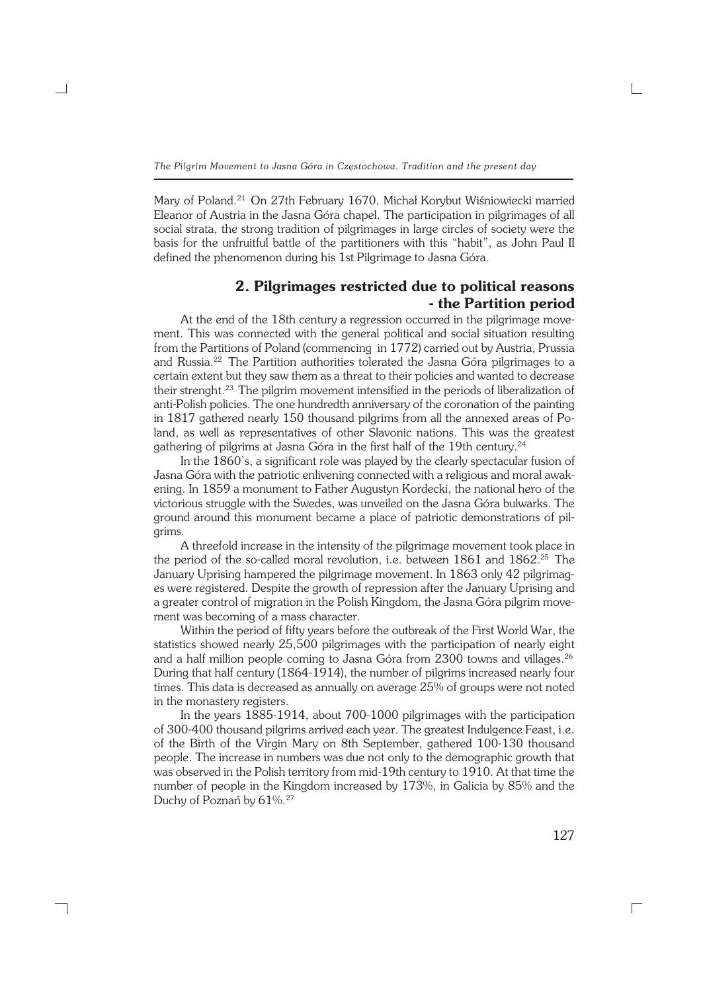Mary of Poland.21 On 27th February 1670, Michał Korybut Wiśniowiecki married Eleanor of Austria in the Jasna Góra chapel. The participation in pilgrimages of all social strata, the strong tradition of pilgrimages in large circles of society were the basis for the unfruitful battle of the partitioners with this "habit", as John Paul II defined the phenomenon during his 1st Pilgrimage to Jasna Góra.

# **2. Pilgrimages restricted due to political reasons − the Partition period**

At the end of the 18th century a regression occurred in the pilgrimage move− ment. This was connected with the general political and social situation resulting from the Partitions of Poland (commencing in 1772) carried out by Austria, Prussia and Russia.<sup>22</sup> The Partition authorities tolerated the Jasna Góra pilgrimages to a certain extent but they saw them as a threat to their policies and wanted to decrease their strenght.<sup>23</sup> The pilgrim movement intensified in the periods of liberalization of anti−Polish policies. The one hundredth anniversary of the coronation of the painting in 1817 gathered nearly 150 thousand pilgrims from all the annexed areas of Po− land, as well as representatives of other Slavonic nations. This was the greatest gathering of pilgrims at Jasna Góra in the first half of the 19th century.<sup>24</sup>

In the 1860's, a significant role was played by the clearly spectacular fusion of Jasna Góra with the patriotic enlivening connected with a religious and moral awak− ening. In 1859 a monument to Father Augustyn Kordecki, the national hero of the victorious struggle with the Swedes, was unveiled on the Jasna Góra bulwarks. The ground around this monument became a place of patriotic demonstrations of pil− grims.

A threefold increase in the intensity of the pilgrimage movement took place in the period of the so-called moral revolution, i.e. between 1861 and 1862.<sup>25</sup> The January Uprising hampered the pilgrimage movement. In 1863 only 42 pilgrimag− es were registered. Despite the growth of repression after the January Uprising and a greater control of migration in the Polish Kingdom, the Jasna Góra pilgrim move− ment was becoming of a mass character.

Within the period of fifty years before the outbreak of the First World War, the statistics showed nearly 25,500 pilgrimages with the participation of nearly eight and a half million people coming to Jasna Góra from 2300 towns and villages.<sup>26</sup> During that half century (1864−1914), the number of pilgrims increased nearly four times. This data is decreased as annually on average 25% of groups were not noted in the monastery registers.

In the years 1885−1914, about 700−1000 pilgrimages with the participation of 300−400 thousand pilgrims arrived each year. The greatest Indulgence Feast, i.e. of the Birth of the Virgin Mary on 8th September, gathered 100−130 thousand people. The increase in numbers was due not only to the demographic growth that was observed in the Polish territory from mid−19th century to 1910. At that time the number of people in the Kingdom increased by 173%, in Galicia by 85% and the Duchy of Poznań by 61%.27

┐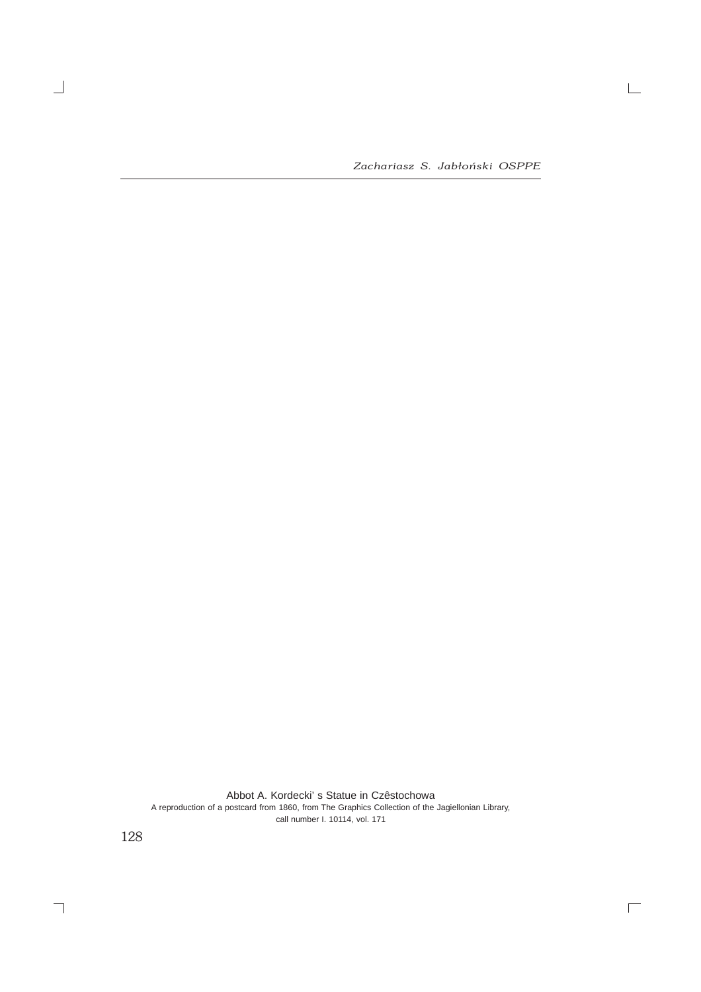*Zachariasz S. Jabłoński OSPPE*

 $\mathrel{\sqsubseteq}$ 

 $\overline{\Box}$ 

Abbot A. Kordecki' s Statue in Czêstochowa A reproduction of a postcard from 1860, from The Graphics Collection of the Jagiellonian Library, call number I. 10114, vol. 171

128

 $\overline{\phantom{0}}$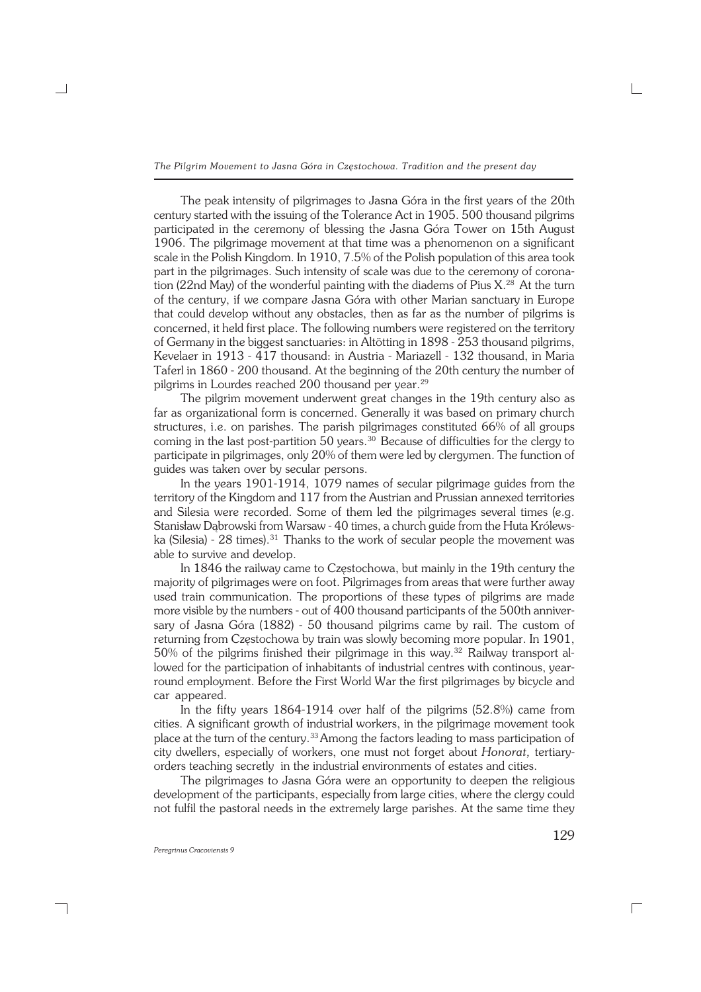The peak intensity of pilgrimages to Jasna Góra in the first years of the 20th century started with the issuing of the Tolerance Act in 1905. 500 thousand pilgrims participated in the ceremony of blessing the Jasna Góra Tower on 15th August 1906. The pilgrimage movement at that time was a phenomenon on a significant scale in the Polish Kingdom. In 1910, 7.5% of the Polish population of this area took part in the pilgrimages. Such intensity of scale was due to the ceremony of coronation (22nd May) of the wonderful painting with the diadems of Pius X.<sup>28</sup> At the turn of the century, if we compare Jasna Góra with other Marian sanctuary in Europe that could develop without any obstacles, then as far as the number of pilgrims is concerned, it held first place. The following numbers were registered on the territory of Germany in the biggest sanctuaries: in Altötting in 1898 − 253 thousand pilgrims, Kevelaer in 1913 − 417 thousand: in Austria − Mariazell − 132 thousand, in Maria Taferl in 1860 − 200 thousand. At the beginning of the 20th century the number of pilgrims in Lourdes reached 200 thousand per year.<sup>29</sup>

The pilgrim movement underwent great changes in the 19th century also as far as organizational form is concerned. Generally it was based on primary church structures, i.e. on parishes. The parish pilgrimages constituted 66% of all groups coming in the last post−partition 50 years.30 Because of difficulties for the clergy to participate in pilgrimages, only 20% of them were led by clergymen. The function of guides was taken over by secular persons.

In the years 1901−1914, 1079 names of secular pilgrimage guides from the territory of the Kingdom and 117 from the Austrian and Prussian annexed territories and Silesia were recorded. Some of them led the pilgrimages several times (e.g. Stanisław Dąbrowski from Warsaw − 40 times, a church guide from the Huta Królews− ka (Silesia) - 28 times).<sup>31</sup> Thanks to the work of secular people the movement was able to survive and develop.

In 1846 the railway came to Częstochowa, but mainly in the 19th century the majority of pilgrimages were on foot. Pilgrimages from areas that were further away used train communication. The proportions of these types of pilgrims are made more visible by the numbers − out of 400 thousand participants of the 500th anniver− sary of Jasna Góra (1882) - 50 thousand pilgrims came by rail. The custom of returning from Częstochowa by train was slowly becoming more popular. In 1901, 50% of the pilgrims finished their pilgrimage in this way.32 Railway transport al− lowed for the participation of inhabitants of industrial centres with continous, year− round employment. Before the First World War the first pilgrimages by bicycle and car appeared.

In the fifty years 1864−1914 over half of the pilgrims (52.8%) came from cities. A significant growth of industrial workers, in the pilgrimage movement took place at the turn of the century.33Among the factors leading to mass participation of city dwellers, especially of workers, one must not forget about *Honorat,* tertiary− orders teaching secretly in the industrial environments of estates and cities.

The pilgrimages to Jasna Góra were an opportunity to deepen the religious development of the participants, especially from large cities, where the clergy could not fulfil the pastoral needs in the extremely large parishes. At the same time they

┐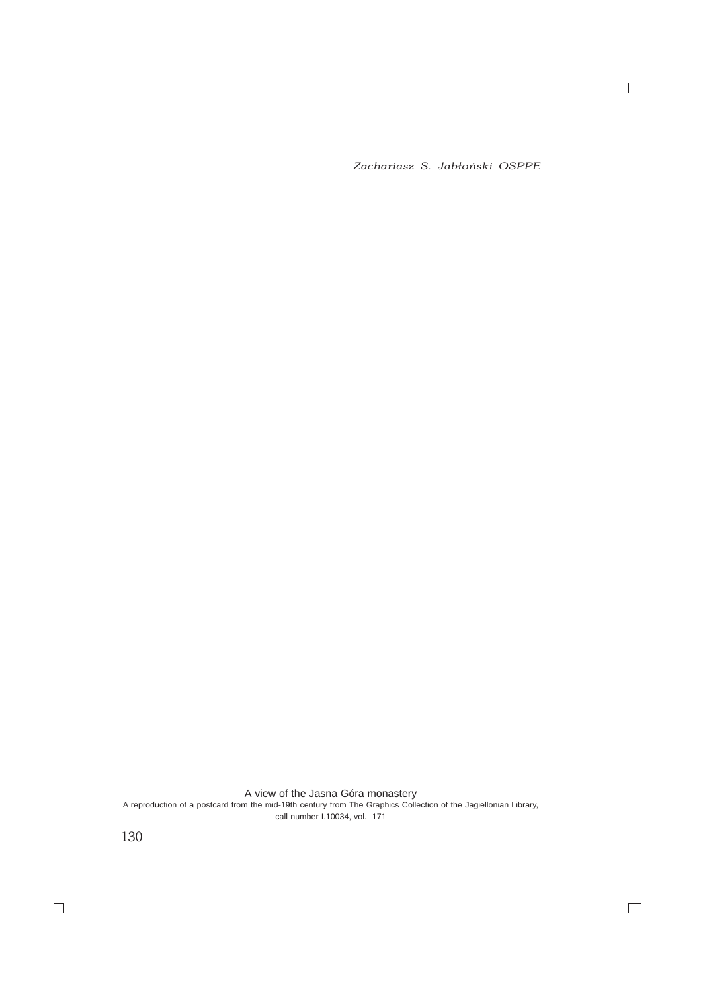*Zachariasz S. Jabłoński OSPPE*

 $\mathrel{\sqsubseteq}$ 

 $\overline{\Box}$ 

A view of the Jasna Góra monastery A reproduction of a postcard from the mid-19th century from The Graphics Collection of the Jagiellonian Library,

call number I.10034, vol. 171

130

 $\overline{\phantom{a}}$ 

 $\overline{\phantom{0}}$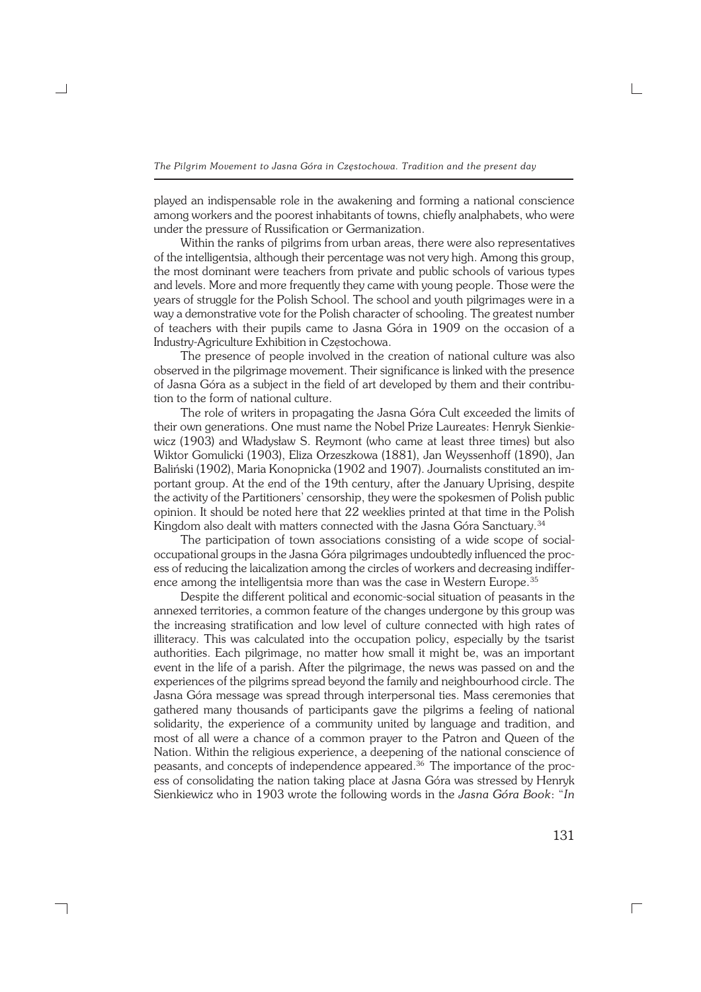played an indispensable role in the awakening and forming a national conscience among workers and the poorest inhabitants of towns, chiefly analphabets, who were under the pressure of Russification or Germanization.

Within the ranks of pilgrims from urban areas, there were also representatives of the intelligentsia, although their percentage was not very high. Among this group, the most dominant were teachers from private and public schools of various types and levels. More and more frequently they came with young people. Those were the years of struggle for the Polish School. The school and youth pilgrimages were in a way a demonstrative vote for the Polish character of schooling. The greatest number of teachers with their pupils came to Jasna Góra in 1909 on the occasion of a Industry−Agriculture Exhibition in Częstochowa.

The presence of people involved in the creation of national culture was also observed in the pilgrimage movement. Their significance is linked with the presence of Jasna Góra as a subject in the field of art developed by them and their contribu− tion to the form of national culture.

The role of writers in propagating the Jasna Góra Cult exceeded the limits of their own generations. One must name the Nobel Prize Laureates: Henryk Sienkie− wicz (1903) and Władysław S. Reymont (who came at least three times) but also Wiktor Gomulicki (1903), Eliza Orzeszkowa (1881), Jan Weyssenhoff (1890), Jan Baliński (1902), Maria Konopnicka (1902 and 1907). Journalists constituted an im− portant group. At the end of the 19th century, after the January Uprising, despite the activity of the Partitioners' censorship, they were the spokesmen of Polish public opinion. It should be noted here that 22 weeklies printed at that time in the Polish Kingdom also dealt with matters connected with the Jasna Góra Sanctuary.<sup>34</sup>

The participation of town associations consisting of a wide scope of social− occupational groups in the Jasna Góra pilgrimages undoubtedly influenced the proc− ess of reducing the laicalization among the circles of workers and decreasing indiffer− ence among the intelligentsia more than was the case in Western Europe.<sup>35</sup>

Despite the different political and economic−social situation of peasants in the annexed territories, a common feature of the changes undergone by this group was the increasing stratification and low level of culture connected with high rates of illiteracy. This was calculated into the occupation policy, especially by the tsarist authorities. Each pilgrimage, no matter how small it might be, was an important event in the life of a parish. After the pilgrimage, the news was passed on and the experiences of the pilgrims spread beyond the family and neighbourhood circle. The Jasna Góra message was spread through interpersonal ties. Mass ceremonies that gathered many thousands of participants gave the pilgrims a feeling of national solidarity, the experience of a community united by language and tradition, and most of all were a chance of a common prayer to the Patron and Queen of the Nation. Within the religious experience, a deepening of the national conscience of peasants, and concepts of independence appeared.<sup>36</sup> The importance of the process of consolidating the nation taking place at Jasna Góra was stressed by Henryk Sienkiewicz who in 1903 wrote the following words in the *Jasna Góra Book*: "*In*

┐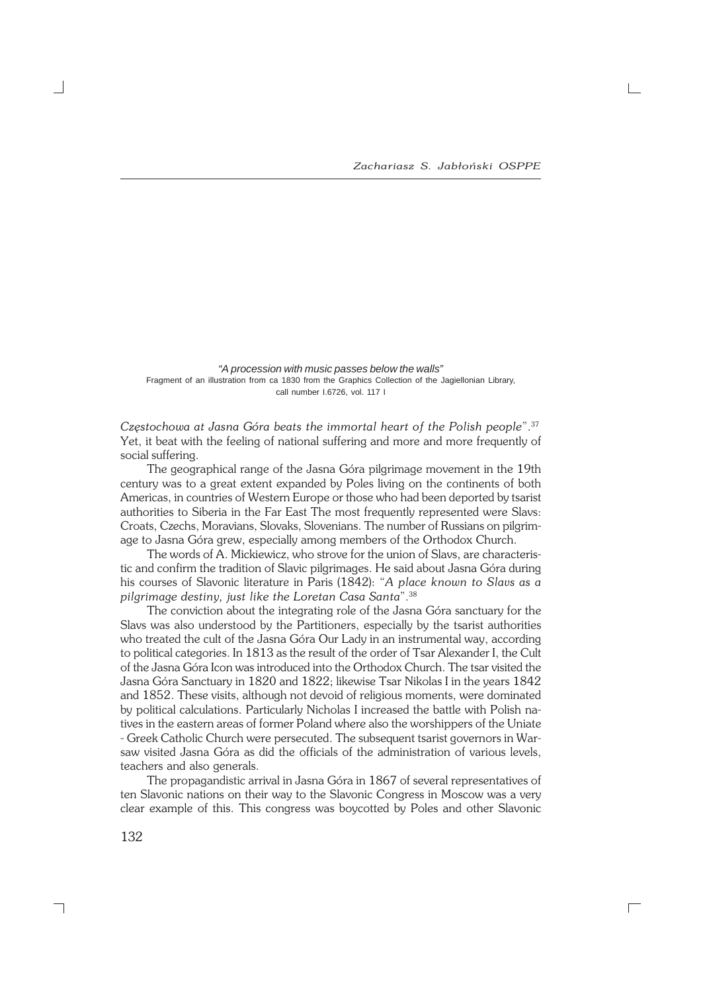"A procession with music passes below the walls" Fragment of an illustration from ca 1830 from the Graphics Collection of the Jagiellonian Library, call number I.6726, vol. 117 I

*Częstochowa at Jasna Góra beats the immortal heart of the Polish people*".<sup>37</sup> Yet, it beat with the feeling of national suffering and more and more frequently of social suffering.

The geographical range of the Jasna Góra pilgrimage movement in the 19th century was to a great extent expanded by Poles living on the continents of both Americas, in countries of Western Europe or those who had been deported by tsarist authorities to Siberia in the Far East The most frequently represented were Slavs: Croats, Czechs, Moravians, Slovaks, Slovenians. The number of Russians on pilgrim− age to Jasna Góra grew, especially among members of the Orthodox Church.

The words of A. Mickiewicz, who strove for the union of Slavs, are characteris− tic and confirm the tradition of Slavic pilgrimages. He said about Jasna Góra during his courses of Slavonic literature in Paris (1842): "*A place known to Slavs as a pilgrimage destiny, just like the Loretan Casa Santa*".<sup>38</sup>

The conviction about the integrating role of the Jasna Góra sanctuary for the Slavs was also understood by the Partitioners, especially by the tsarist authorities who treated the cult of the Jasna Góra Our Lady in an instrumental way, according to political categories. In 1813 as the result of the order of Tsar Alexander I, the Cult of the Jasna Góra Icon was introduced into the Orthodox Church. The tsar visited the Jasna Góra Sanctuary in 1820 and 1822; likewise Tsar Nikolas I in the years 1842 and 1852. These visits, although not devoid of religious moments, were dominated by political calculations. Particularly Nicholas I increased the battle with Polish na− tives in the eastern areas of former Poland where also the worshippers of the Uniate − Greek Catholic Church were persecuted. The subsequent tsarist governors in War− saw visited Jasna Góra as did the officials of the administration of various levels, teachers and also generals.

The propagandistic arrival in Jasna Góra in 1867 of several representatives of ten Slavonic nations on their way to the Slavonic Congress in Moscow was a very clear example of this. This congress was boycotted by Poles and other Slavonic

 $\Gamma$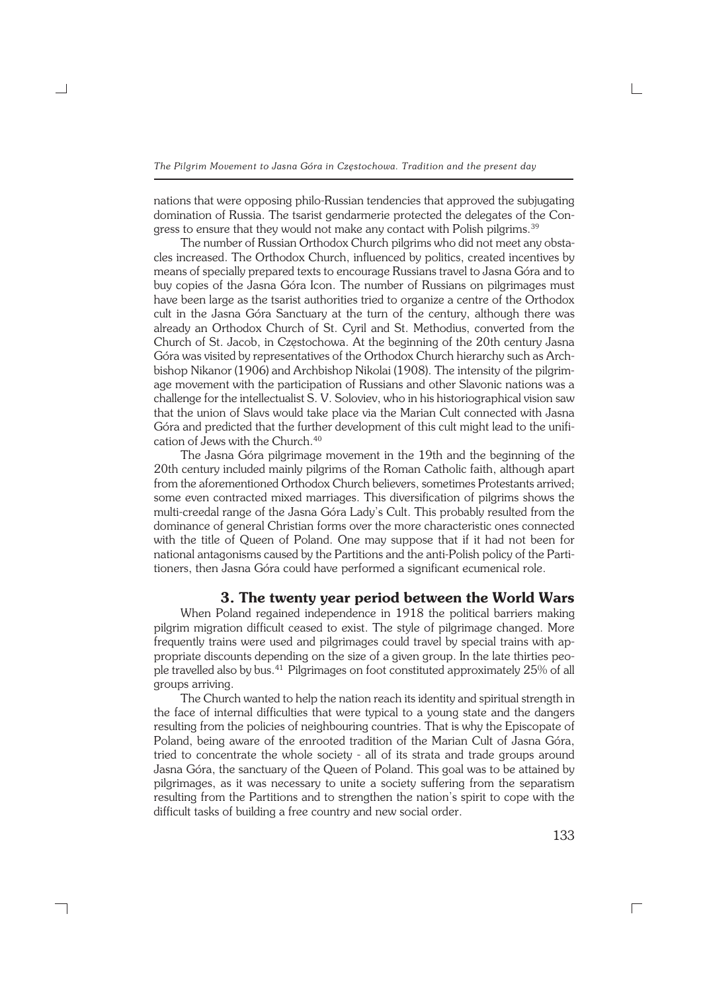nations that were opposing philo−Russian tendencies that approved the subjugating domination of Russia. The tsarist gendarmerie protected the delegates of the Con− gress to ensure that they would not make any contact with Polish pilgrims.<sup>39</sup>

The number of Russian Orthodox Church pilgrims who did not meet any obsta− cles increased. The Orthodox Church, influenced by politics, created incentives by means of specially prepared texts to encourage Russians travel to Jasna Góra and to buy copies of the Jasna Góra Icon. The number of Russians on pilgrimages must have been large as the tsarist authorities tried to organize a centre of the Orthodox cult in the Jasna Góra Sanctuary at the turn of the century, although there was already an Orthodox Church of St. Cyril and St. Methodius, converted from the Church of St. Jacob, in Częstochowa. At the beginning of the 20th century Jasna Góra was visited by representatives of the Orthodox Church hierarchy such as Arch− bishop Nikanor (1906) and Archbishop Nikolai (1908). The intensity of the pilgrim− age movement with the participation of Russians and other Slavonic nations was a challenge for the intellectualist S. V. Soloviev, who in his historiographical vision saw that the union of Slavs would take place via the Marian Cult connected with Jasna Góra and predicted that the further development of this cult might lead to the unifi− cation of Jews with the Church.<sup>40</sup>

The Jasna Góra pilgrimage movement in the 19th and the beginning of the 20th century included mainly pilgrims of the Roman Catholic faith, although apart from the aforementioned Orthodox Church believers, sometimes Protestants arrived; some even contracted mixed marriages. This diversification of pilgrims shows the multi−creedal range of the Jasna Góra Lady's Cult. This probably resulted from the dominance of general Christian forms over the more characteristic ones connected with the title of Queen of Poland. One may suppose that if it had not been for national antagonisms caused by the Partitions and the anti−Polish policy of the Parti− tioners, then Jasna Góra could have performed a significant ecumenical role.

## **3. The twenty year period between the World Wars**

When Poland regained independence in 1918 the political barriers making pilgrim migration difficult ceased to exist. The style of pilgrimage changed. More frequently trains were used and pilgrimages could travel by special trains with appropriate discounts depending on the size of a given group. In the late thirties peo− ple travelled also by bus.<sup>41</sup> Pilgrimages on foot constituted approximately 25% of all groups arriving.

The Church wanted to help the nation reach its identity and spiritual strength in the face of internal difficulties that were typical to a young state and the dangers resulting from the policies of neighbouring countries. That is why the Episcopate of Poland, being aware of the enrooted tradition of the Marian Cult of Jasna Góra, tried to concentrate the whole society − all of its strata and trade groups around Jasna Góra, the sanctuary of the Queen of Poland. This goal was to be attained by pilgrimages, as it was necessary to unite a society suffering from the separatism resulting from the Partitions and to strengthen the nation's spirit to cope with the difficult tasks of building a free country and new social order.

┐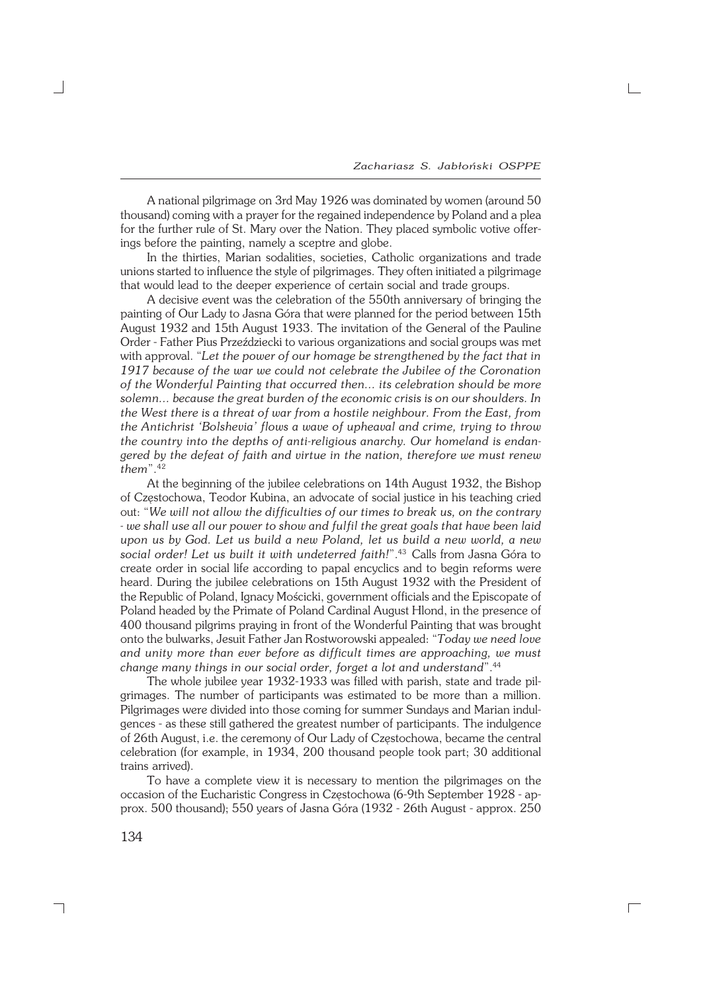A national pilgrimage on 3rd May 1926 was dominated by women (around 50 thousand) coming with a prayer for the regained independence by Poland and a plea for the further rule of St. Mary over the Nation. They placed symbolic votive offer− ings before the painting, namely a sceptre and globe.

In the thirties, Marian sodalities, societies, Catholic organizations and trade unions started to influence the style of pilgrimages. They often initiated a pilgrimage that would lead to the deeper experience of certain social and trade groups.

A decisive event was the celebration of the 550th anniversary of bringing the painting of Our Lady to Jasna Góra that were planned for the period between 15th August 1932 and 15th August 1933. The invitation of the General of the Pauline Order − Father Pius Przeździecki to various organizations and social groups was met with approval. "*Let the power of our homage be strengthened by the fact that in 1917 because of the war we could not celebrate the Jubilee of the Coronation of the Wonderful Painting that occurred then... its celebration should be more solemn... because the great burden of the economic crisis is on our shoulders. In the West there is a threat of war from a hostile neighbour. From the East, from the Antichrist 'Bolshevia' flows a wave of upheaval and crime, trying to throw the country into the depths of anti−religious anarchy. Our homeland is endan− gered by the defeat of faith and virtue in the nation, therefore we must renew them*".<sup>42</sup>

At the beginning of the jubilee celebrations on 14th August 1932, the Bishop of Częstochowa, Teodor Kubina, an advocate of social justice in his teaching cried out: "*We will not allow the difficulties of our times to break us, on the contrary − we shall use all our power to show and fulfil the great goals that have been laid upon us by God. Let us build a new Poland, let us build a new world, a new social order! Let us built it with undeterred faith!*".43 Calls from Jasna Góra to create order in social life according to papal encyclics and to begin reforms were heard. During the jubilee celebrations on 15th August 1932 with the President of the Republic of Poland, Ignacy Mościcki, government officials and the Episcopate of Poland headed by the Primate of Poland Cardinal August Hlond, in the presence of 400 thousand pilgrims praying in front of the Wonderful Painting that was brought onto the bulwarks, Jesuit Father Jan Rostworowski appealed: "*Today we need love and unity more than ever before as difficult times are approaching, we must change many things in our social order, forget a lot and understand*".<sup>44</sup>

The whole jubilee year 1932−1933 was filled with parish, state and trade pil− grimages. The number of participants was estimated to be more than a million. Pilgrimages were divided into those coming for summer Sundays and Marian indul− gences − as these still gathered the greatest number of participants. The indulgence of 26th August, i.e. the ceremony of Our Lady of Częstochowa, became the central celebration (for example, in 1934, 200 thousand people took part; 30 additional trains arrived).

To have a complete view it is necessary to mention the pilgrimages on the occasion of the Eucharistic Congress in Częstochowa (6−9th September 1928 − ap− prox. 500 thousand); 550 years of Jasna Góra (1932 − 26th August − approx. 250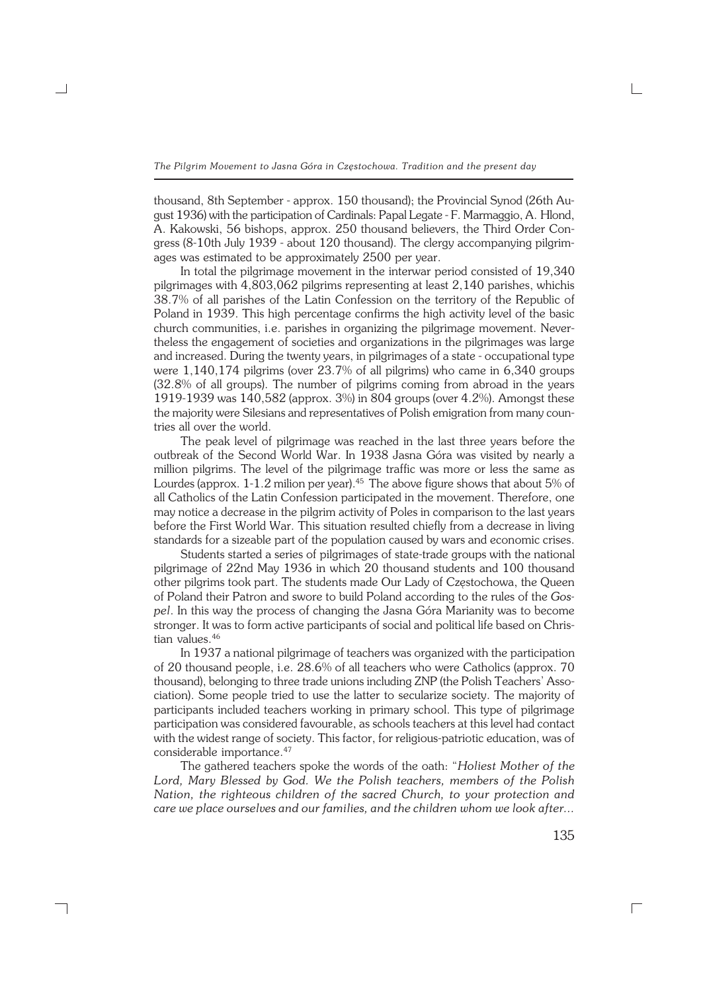thousand, 8th September − approx. 150 thousand); the Provincial Synod (26th Au− gust 1936) with the participation of Cardinals: Papal Legate − F. Marmaggio, A.Hlond, A. Kakowski, 56 bishops, approx. 250 thousand believers, the Third Order Con− gress (8−10th July 1939 − about 120 thousand). The clergy accompanying pilgrim− ages was estimated to be approximately 2500 per year.

In total the pilgrimage movement in the interwar period consisted of 19,340 pilgrimages with 4,803,062 pilgrims representing at least 2,140 parishes, whichis 38.7% of all parishes of the Latin Confession on the territory of the Republic of Poland in 1939. This high percentage confirms the high activity level of the basic church communities, i.e. parishes in organizing the pilgrimage movement. Never− theless the engagement of societies and organizations in the pilgrimages was large and increased. During the twenty years, in pilgrimages of a state − occupational type were 1,140,174 pilgrims (over 23.7% of all pilgrims) who came in 6,340 groups (32.8% of all groups). The number of pilgrims coming from abroad in the years 1919−1939 was 140,582 (approx. 3%) in 804 groups (over 4.2%). Amongst these the majority were Silesians and representatives of Polish emigration from many coun− tries all over the world.

The peak level of pilgrimage was reached in the last three years before the outbreak of the Second World War. In 1938 Jasna Góra was visited by nearly a million pilgrims. The level of the pilgrimage traffic was more or less the same as Lourdes (approx. 1−1.2 milion per year).45 The above figure shows that about 5% of all Catholics of the Latin Confession participated in the movement. Therefore, one may notice a decrease in the pilgrim activity of Poles in comparison to the last years before the First World War. This situation resulted chiefly from a decrease in living standards for a sizeable part of the population caused by wars and economic crises.

Students started a series of pilgrimages of state−trade groups with the national pilgrimage of 22nd May 1936 in which 20 thousand students and 100 thousand other pilgrims took part. The students made Our Lady of Częstochowa, the Queen of Poland their Patron and swore to build Poland according to the rules of the *Gos− pel*. In this way the process of changing the Jasna Góra Marianity was to become stronger. It was to form active participants of social and political life based on Chris− tian values.<sup>46</sup>

In 1937 a national pilgrimage of teachers was organized with the participation of 20 thousand people, i.e. 28.6% of all teachers who were Catholics (approx. 70 thousand), belonging to three trade unions including ZNP (the Polish Teachers' Asso− ciation). Some people tried to use the latter to secularize society. The majority of participants included teachers working in primary school. This type of pilgrimage participation was considered favourable, as schools teachers at this level had contact with the widest range of society. This factor, for religious−patriotic education, was of considerable importance.<sup>47</sup>

The gathered teachers spoke the words of the oath: "*Holiest Mother of the Lord, Mary Blessed by God. We the Polish teachers, members of the Polish Nation, the righteous children of the sacred Church, to your protection and care we place ourselves and our families, and the children whom we look after...*

┐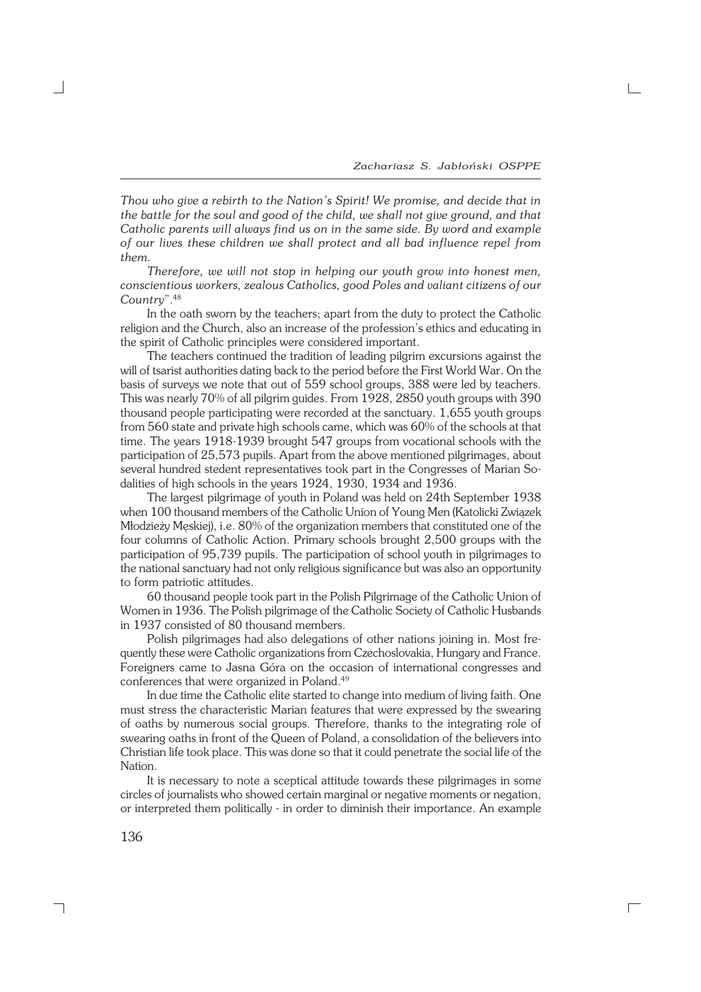*Thou who give a rebirth to the Nation's Spirit! We promise, and decide that in the battle for the soul and good of the child, we shall not give ground, and that Catholic parents will always find us on in the same side. By word and example of our lives these children we shall protect and all bad influence repel from them.*

*Therefore, we will not stop in helping our youth grow into honest men, conscientious workers, zealous Catholics, good Poles and valiant citizens of our Country*".<sup>48</sup>

In the oath sworn by the teachers; apart from the duty to protect the Catholic religion and the Church, also an increase of the profession's ethics and educating in the spirit of Catholic principles were considered important.

The teachers continued the tradition of leading pilgrim excursions against the will of tsarist authorities dating back to the period before the First World War. On the basis of surveys we note that out of 559 school groups, 388 were led by teachers. This was nearly 70% of all pilgrim guides. From 1928, 2850 youth groups with 390 thousand people participating were recorded at the sanctuary. 1,655 youth groups from 560 state and private high schools came, which was 60% of the schools at that time. The years 1918−1939 brought 547 groups from vocational schools with the participation of 25,573 pupils. Apart from the above mentioned pilgrimages, about several hundred stedent representatives took part in the Congresses of Marian Sodalities of high schools in the years 1924, 1930, 1934 and 1936.

The largest pilgrimage of youth in Poland was held on 24th September 1938 when 100 thousand members of the Catholic Union of Young Men (Katolicki Związek Młodzieży Męskiej), i.e. 80% of the organization members that constituted one of the four columns of Catholic Action. Primary schools brought 2,500 groups with the participation of 95,739 pupils. The participation of school youth in pilgrimages to the national sanctuary had not only religious significance but was also an opportunity to form patriotic attitudes.

60 thousand people took part in the Polish Pilgrimage of the Catholic Union of Women in 1936. The Polish pilgrimage of the Catholic Society of Catholic Husbands in 1937 consisted of 80 thousand members.

Polish pilgrimages had also delegations of other nations joining in. Most fre− quently these were Catholic organizations from Czechoslovakia, Hungary and France. Foreigners came to Jasna Góra on the occasion of international congresses and conferences that were organized in Poland.<sup>49</sup>

In due time the Catholic elite started to change into medium of living faith. One must stress the characteristic Marian features that were expressed by the swearing of oaths by numerous social groups. Therefore, thanks to the integrating role of swearing oaths in front of the Queen of Poland, a consolidation of the believers into Christian life took place. This was done so that it could penetrate the social life of the Nation.

It is necessary to note a sceptical attitude towards these pilgrimages in some circles of journalists who showed certain marginal or negative moments or negation, or interpreted them politically − in order to diminish their importance. An example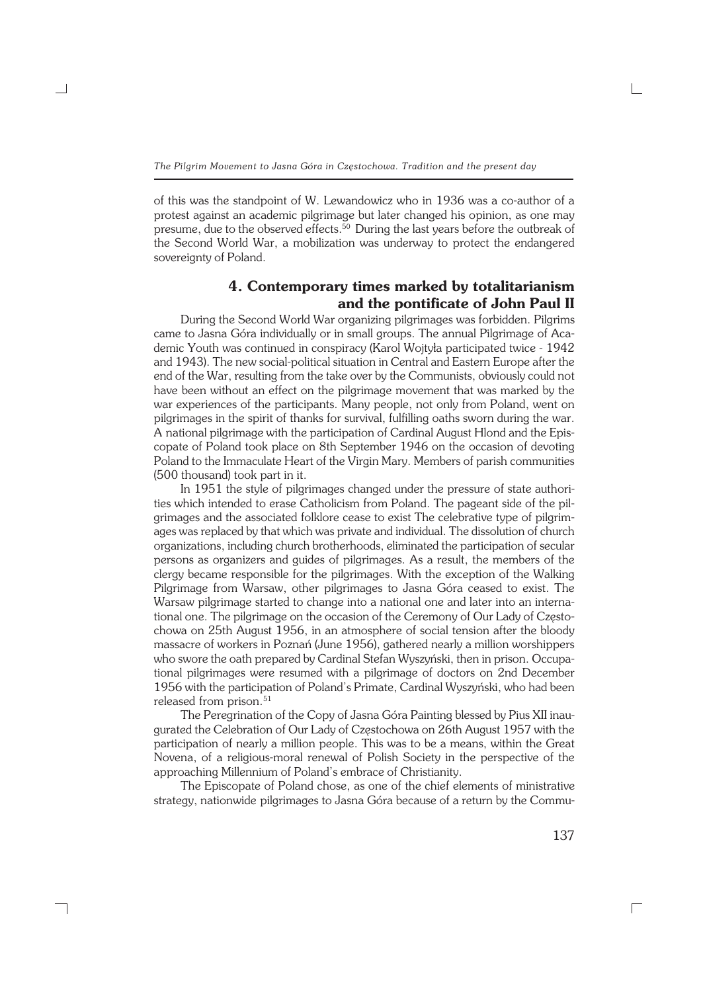of this was the standpoint of W. Lewandowicz who in 1936 was a co−author of a protest against an academic pilgrimage but later changed his opinion, as one may presume, due to the observed effects.<sup>50</sup> During the last years before the outbreak of the Second World War, a mobilization was underway to protect the endangered sovereignty of Poland.

# **4. Contemporary times marked by totalitarianism and the pontificate of John Paul II**

During the Second World War organizing pilgrimages was forbidden. Pilgrims came to Jasna Góra individually or in small groups. The annual Pilgrimage of Aca− demic Youth was continued in conspiracy (Karol Wojtyła participated twice − 1942 and 1943). The new social−political situation in Central and Eastern Europe after the end of the War, resulting from the take over by the Communists, obviously could not have been without an effect on the pilgrimage movement that was marked by the war experiences of the participants. Many people, not only from Poland, went on pilgrimages in the spirit of thanks for survival, fulfilling oaths sworn during the war. Anational pilgrimage with the participation of Cardinal August Hlond and the Epis− copate of Poland took place on 8th September 1946 on the occasion of devoting Poland to the Immaculate Heart of the Virgin Mary. Members of parish communities (500 thousand) took part in it.

In 1951 the style of pilgrimages changed under the pressure of state authori− ties which intended to erase Catholicism from Poland. The pageant side of the pilgrimages and the associated folklore cease to exist The celebrative type of pilgrim− ages was replaced by that which was private and individual. The dissolution of church organizations, including church brotherhoods, eliminated the participation of secular persons as organizers and guides of pilgrimages. As a result, the members of the clergy became responsible for the pilgrimages. With the exception of the Walking Pilgrimage from Warsaw, other pilgrimages to Jasna Góra ceased to exist. The Warsaw pilgrimage started to change into a national one and later into an interna− tional one. The pilgrimage on the occasion of the Ceremony of Our Lady of Często− chowa on 25th August 1956, in an atmosphere of social tension after the bloody massacre of workers in Poznań (June 1956), gathered nearly a million worshippers who swore the oath prepared by Cardinal Stefan Wyszyński, then in prison. Occupa− tional pilgrimages were resumed with a pilgrimage of doctors on 2nd December 1956 with the participation of Poland's Primate, Cardinal Wyszyński, who had been released from prison.<sup>51</sup>

The Peregrination of the Copy of Jasna Góra Painting blessed by Pius XII inau− gurated the Celebration of Our Lady of Częstochowa on 26th August 1957 with the participation of nearly a million people. This was to be a means, within the Great Novena, of a religious−moral renewal of Polish Society in the perspective of the approaching Millennium of Poland's embrace of Christianity.

The Episcopate of Poland chose, as one of the chief elements of ministrative strategy, nationwide pilgrimages to Jasna Góra because of a return by the Commu−

┐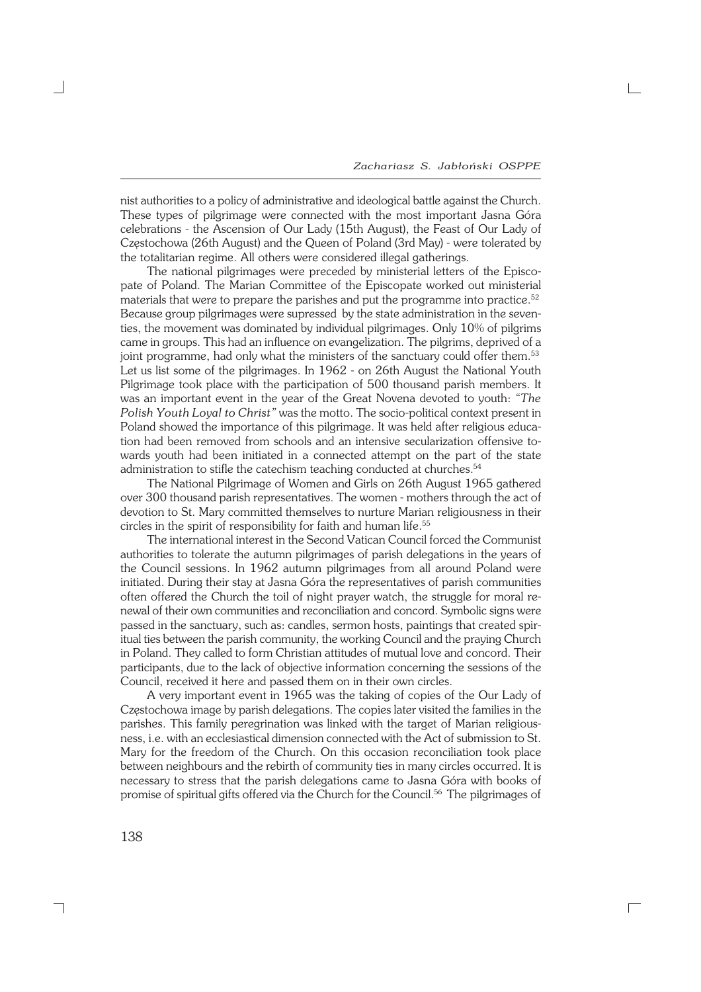$\Box$ 

nist authorities to a policy of administrative and ideological battle against the Church. These types of pilgrimage were connected with the most important Jasna Góra celebrations − the Ascension of Our Lady (15th August), the Feast of Our Lady of Częstochowa (26th August) and the Queen of Poland (3rd May) − were tolerated by the totalitarian regime. All others were considered illegal gatherings.

The national pilgrimages were preceded by ministerial letters of the Episco− pate of Poland. The Marian Committee of the Episcopate worked out ministerial materials that were to prepare the parishes and put the programme into practice.<sup>52</sup> Because group pilgrimages were supressed by the state administration in the seven− ties, the movement was dominated by individual pilgrimages. Only 10% of pilgrims came in groups. This had an influence on evangelization. The pilgrims, deprived of a joint programme, had only what the ministers of the sanctuary could offer them.<sup>53</sup> Let us list some of the pilgrimages. In 1962 − on 26th August the National Youth Pilgrimage took place with the participation of 500 thousand parish members. It was an important event in the year of the Great Novena devoted to youth: *"The Polish Youth Loyal to Christ"* was the motto. The socio−political context present in Poland showed the importance of this pilgrimage. It was held after religious educa− tion had been removed from schools and an intensive secularization offensive to− wards youth had been initiated in a connected attempt on the part of the state administration to stifle the catechism teaching conducted at churches.<sup>54</sup>

The National Pilgrimage of Women and Girls on 26th August 1965 gathered over 300 thousand parish representatives. The women − mothers through the act of devotion to St. Mary committed themselves to nurture Marian religiousness in their circles in the spirit of responsibility for faith and human life.<sup>55</sup>

The international interest in the Second Vatican Council forced the Communist authorities to tolerate the autumn pilgrimages of parish delegations in the years of the Council sessions. In 1962 autumn pilgrimages from all around Poland were initiated. During their stay at Jasna Góra the representatives of parish communities often offered the Church the toil of night prayer watch, the struggle for moral re− newal of their own communities and reconciliation and concord. Symbolic signs were passed in the sanctuary, such as: candles, sermon hosts, paintings that created spir− itual ties between the parish community, the working Council and the praying Church in Poland. They called to form Christian attitudes of mutual love and concord. Their participants, due to the lack of objective information concerning the sessions of the Council, received it here and passed them on in their own circles.

A very important event in 1965 was the taking of copies of the Our Lady of Częstochowa image by parish delegations. The copies later visited the families in the parishes. This family peregrination was linked with the target of Marian religious− ness, i.e. with an ecclesiastical dimension connected with the Act of submission to St. Mary for the freedom of the Church. On this occasion reconciliation took place between neighbours and the rebirth of community ties in many circles occurred. It is necessary to stress that the parish delegations came to Jasna Góra with books of promise of spiritual gifts offered via the Church for the Council.56 The pilgrimages of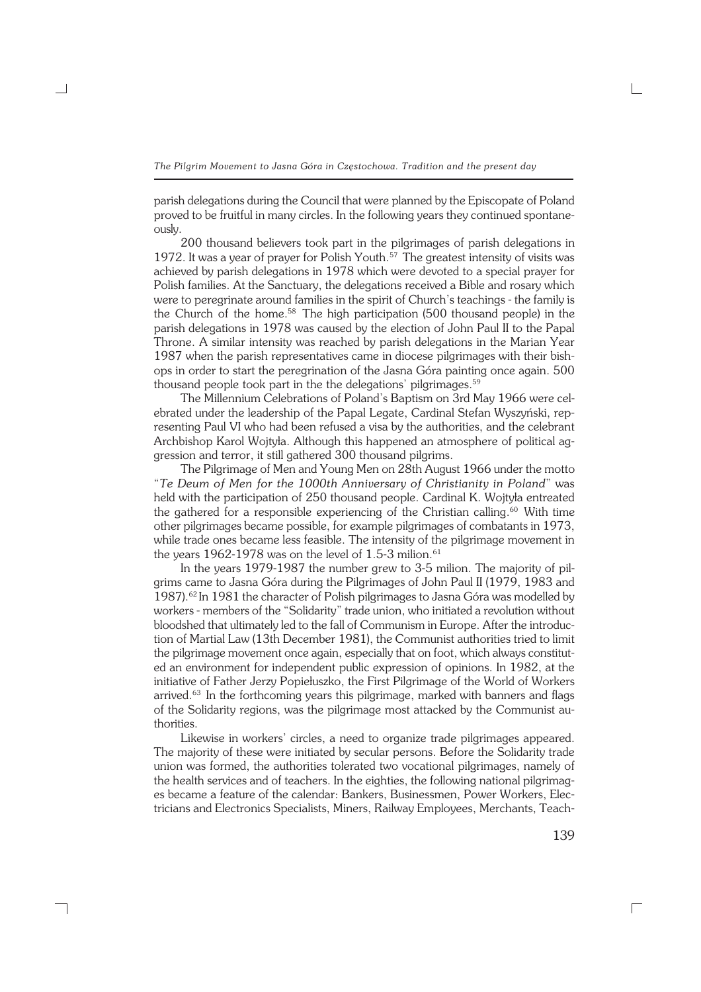parish delegations during the Council that were planned by the Episcopate of Poland proved to be fruitful in many circles. In the following years they continued spontane− ously.

200 thousand believers took part in the pilgrimages of parish delegations in 1972. It was a year of prayer for Polish Youth.<sup>57</sup> The greatest intensity of visits was achieved by parish delegations in 1978 which were devoted to a special prayer for Polish families. At the Sanctuary, the delegations received a Bible and rosary which were to peregrinate around families in the spirit of Church's teachings − the family is the Church of the home.<sup>58</sup> The high participation (500 thousand people) in the parish delegations in 1978 was caused by the election of John Paul II to the Papal Throne. A similar intensity was reached by parish delegations in the Marian Year 1987 when the parish representatives came in diocese pilgrimages with their bish− ops in order to start the peregrination of the Jasna Góra painting once again. 500 thousand people took part in the the delegations' pilgrimages.<sup>59</sup>

The Millennium Celebrations of Poland's Baptism on 3rd May 1966 were cel− ebrated under the leadership of the Papal Legate, Cardinal Stefan Wyszyński, rep− resenting Paul VI who had been refused a visa by the authorities, and the celebrant Archbishop Karol Wojtyła. Although this happened an atmosphere of political ag− gression and terror, it still gathered 300 thousand pilgrims.

The Pilgrimage of Men and Young Men on 28th August 1966 under the motto "*Te Deum of Men for the 1000th Anniversary of Christianity in Poland*" was held with the participation of 250 thousand people. Cardinal K. Wojtyła entreated the gathered for a responsible experiencing of the Christian calling.<sup>60</sup> With time other pilgrimages became possible, for example pilgrimages of combatants in 1973, while trade ones became less feasible. The intensity of the pilgrimage movement in the years 1962-1978 was on the level of 1.5-3 milion.<sup>61</sup>

In the years 1979−1987 the number grew to 3−5 milion. The majority of pil− grims came to Jasna Góra during the Pilgrimages of John Paul II (1979, 1983 and 1987).<sup>62</sup> In 1981 the character of Polish pilgrimages to Jasna Góra was modelled by workers − members of the "Solidarity" trade union, who initiated a revolution without bloodshed that ultimately led to the fall of Communism in Europe. After the introduc− tion of Martial Law (13th December 1981), the Communist authorities tried to limit the pilgrimage movement once again, especially that on foot, which always constitut− ed an environment for independent public expression of opinions. In 1982, at the initiative of Father Jerzy Popiełuszko, the First Pilgrimage of the World of Workers arrived.<sup>63</sup> In the forthcoming years this pilgrimage, marked with banners and flags of the Solidarity regions, was the pilgrimage most attacked by the Communist au− thorities.

Likewise in workers' circles, a need to organize trade pilgrimages appeared. The majority of these were initiated by secular persons. Before the Solidarity trade union was formed, the authorities tolerated two vocational pilgrimages, namely of the health services and of teachers. In the eighties, the following national pilgrimag− es became a feature of the calendar: Bankers, Businessmen, Power Workers, Elec− tricians and Electronics Specialists, Miners, Railway Employees, Merchants, Teach−

┐

139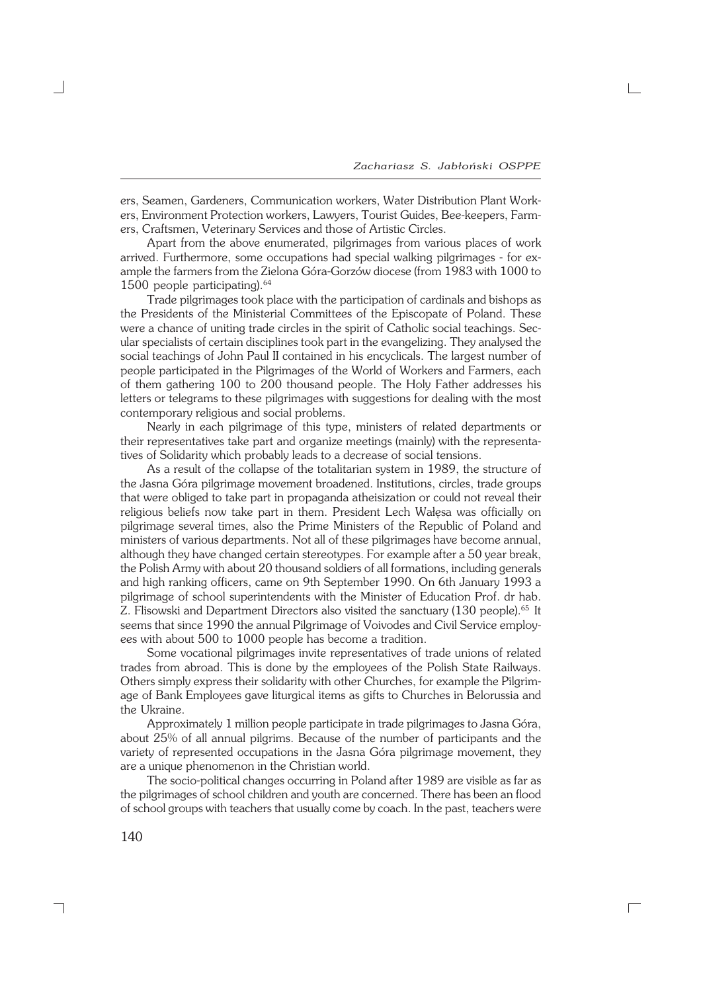ers, Seamen, Gardeners, Communication workers, Water Distribution Plant Work− ers, Environment Protection workers, Lawyers, Tourist Guides, Bee−keepers, Farm− ers, Craftsmen, Veterinary Services and those of Artistic Circles.

Apart from the above enumerated, pilgrimages from various places of work arrived. Furthermore, some occupations had special walking pilgrimages − for ex− ample the farmers from the Zielona Góra−Gorzów diocese (from 1983 with 1000 to 1500 people participating).<sup>64</sup>

Trade pilgrimages took place with the participation of cardinals and bishops as the Presidents of the Ministerial Committees of the Episcopate of Poland. These were a chance of uniting trade circles in the spirit of Catholic social teachings. Sec− ular specialists of certain disciplines took part in the evangelizing. They analysed the social teachings of John Paul II contained in his encyclicals. The largest number of people participated in the Pilgrimages of the World of Workers and Farmers, each of them gathering 100 to 200 thousand people. The Holy Father addresses his letters or telegrams to these pilgrimages with suggestions for dealing with the most contemporary religious and social problems.

Nearly in each pilgrimage of this type, ministers of related departments or their representatives take part and organize meetings (mainly) with the representa− tives of Solidarity which probably leads to a decrease of social tensions.

As a result of the collapse of the totalitarian system in 1989, the structure of the Jasna Góra pilgrimage movement broadened. Institutions, circles, trade groups that were obliged to take part in propaganda atheisization or could not reveal their religious beliefs now take part in them. President Lech Wałęsa was officially on pilgrimage several times, also the Prime Ministers of the Republic of Poland and ministers of various departments. Not all of these pilgrimages have become annual, although they have changed certain stereotypes. For example after a 50 year break, the Polish Army with about 20 thousand soldiers of all formations, including generals and high ranking officers, came on 9th September 1990. On 6th January 1993 a pilgrimage of school superintendents with the Minister of Education Prof. dr hab. Z. Flisowski and Department Directors also visited the sanctuary (130 people).<sup>65</sup> It seems that since 1990 the annual Pilgrimage of Voivodes and Civil Service employees with about 500 to 1000 people has become a tradition.

Some vocational pilgrimages invite representatives of trade unions of related trades from abroad. This is done by the employees of the Polish State Railways. Others simply express their solidarity with other Churches, for example the Pilgrim− age of Bank Employees gave liturgical items as gifts to Churches in Belorussia and the Ukraine.

Approximately 1 million people participate in trade pilgrimages to Jasna Góra, about 25% of all annual pilgrims. Because of the number of participants and the variety of represented occupations in the Jasna Góra pilgrimage movement, they are a unique phenomenon in the Christian world.

The socio−political changes occurring in Poland after 1989 are visible as far as the pilgrimages of school children and youth are concerned. There has been an flood of school groups with teachers that usually come by coach. In the past, teachers were

 $\Gamma$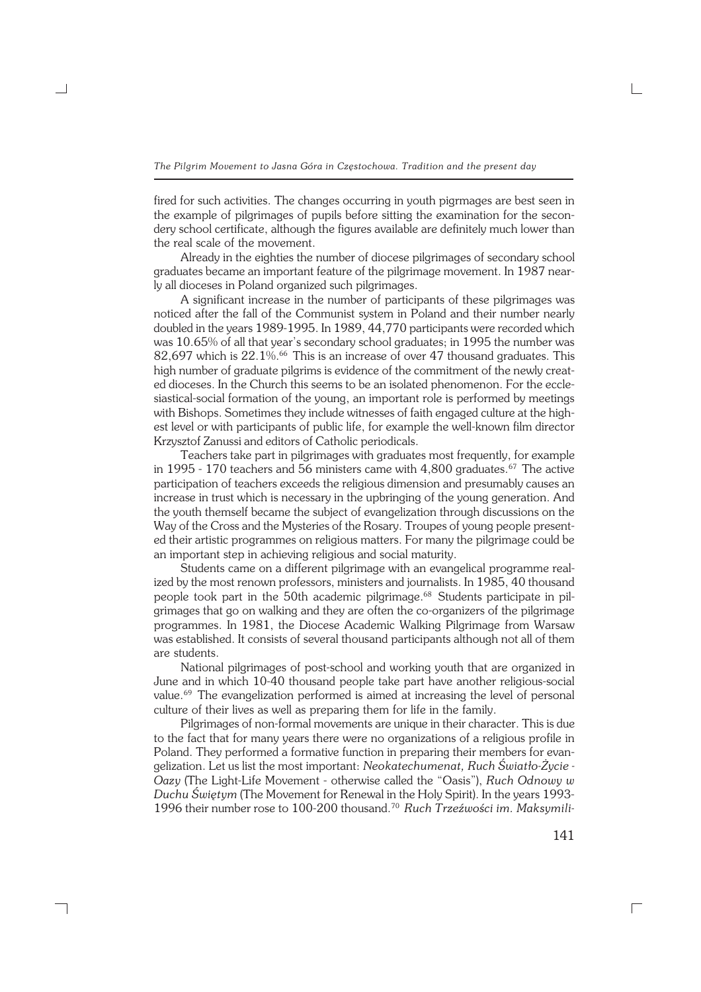fired for such activities. The changes occurring in youth pigrmages are best seen in the example of pilgrimages of pupils before sitting the examination for the secon− dery school certificate, although the figures available are definitely much lower than the real scale of the movement.

Already in the eighties the number of diocese pilgrimages of secondary school graduates became an important feature of the pilgrimage movement. In 1987 nearly all dioceses in Poland organized such pilgrimages.

A significant increase in the number of participants of these pilgrimages was noticed after the fall of the Communist system in Poland and their number nearly doubled in the years 1989−1995. In 1989, 44,770 participants were recorded which was 10.65% of all that year's secondary school graduates; in 1995 the number was  $82,697$  which is  $22.1\%$ .<sup>66</sup> This is an increase of over 47 thousand graduates. This high number of graduate pilgrims is evidence of the commitment of the newly creat− ed dioceses. In the Church this seems to be an isolated phenomenon. For the eccle− siastical−social formation of the young, an important role is performed by meetings with Bishops. Sometimes they include witnesses of faith engaged culture at the high− est level or with participants of public life, for example the well−known film director Krzysztof Zanussi and editors of Catholic periodicals.

Teachers take part in pilgrimages with graduates most frequently, for example in 1995 - 170 teachers and 56 ministers came with 4,800 graduates.<sup>67</sup> The active participation of teachers exceeds the religious dimension and presumably causes an increase in trust which is necessary in the upbringing of the young generation. And the youth themself became the subject of evangelization through discussions on the Way of the Cross and the Mysteries of the Rosary. Troupes of young people present− ed their artistic programmes on religious matters. For many the pilgrimage could be an important step in achieving religious and social maturity.

Students came on a different pilgrimage with an evangelical programme real− ized by the most renown professors, ministers and journalists. In 1985, 40 thousand people took part in the 50th academic pilgrimage.<sup>68</sup> Students participate in pilgrimages that go on walking and they are often the co−organizers of the pilgrimage programmes. In 1981, the Diocese Academic Walking Pilgrimage from Warsaw was established. It consists of several thousand participants although not all of them are students.

National pilgrimages of post−school and working youth that are organized in June and in which 10−40 thousand people take part have another religious−social value.<sup>69</sup> The evangelization performed is aimed at increasing the level of personal culture of their lives as well as preparing them for life in the family.

Pilgrimages of non−formal movements are unique in their character. This is due to the fact that for many years there were no organizations of a religious profile in Poland. They performed a formative function in preparing their members for evangelization. Let us list the most important: *Neokatechumenat, Ruch Światło−Życie − Oazy* (The Light−Life Movement − otherwise called the "Oasis"), *Ruch Odnowy w Duchu Świętym* (The Movement for Renewal in the Holy Spirit). In the years 1993− 1996 their number rose to 100−200 thousand.<sup>70</sup> *Ruch Trzeźwości im. Maksymili−*

┐

141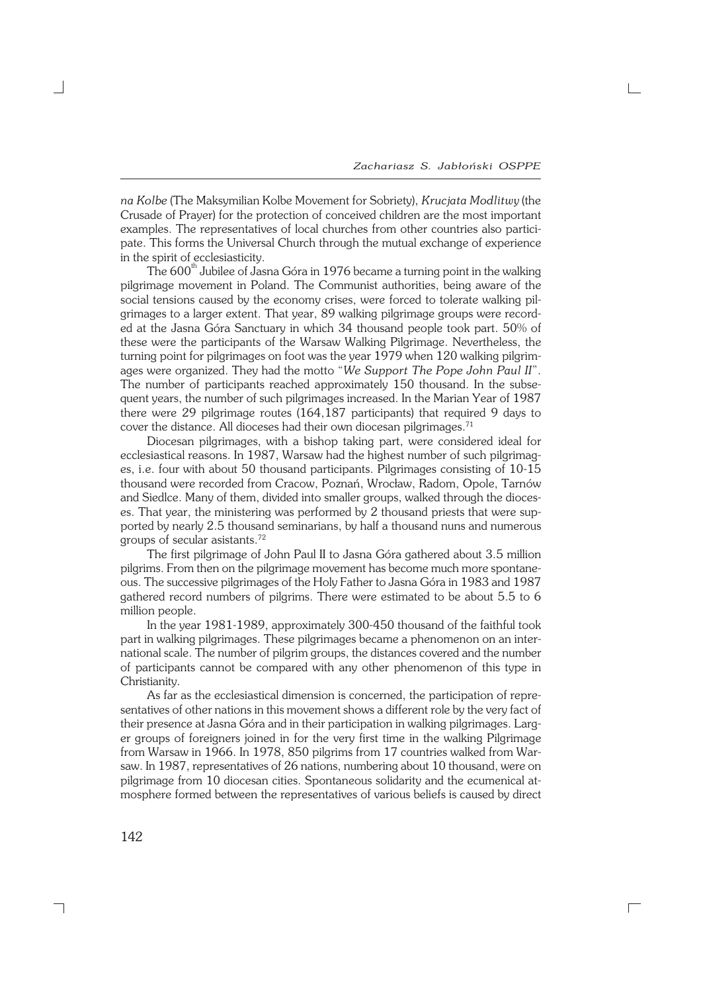*na Kolbe* (The Maksymilian Kolbe Movement for Sobriety), *Krucjata Modlitwy* (the Crusade of Prayer) for the protection of conceived children are the most important examples. The representatives of local churches from other countries also partici− pate. This forms the Universal Church through the mutual exchange of experience in the spirit of ecclesiasticity.

The  $600<sup>th</sup>$  Jubilee of Jasna Góra in 1976 became a turning point in the walking pilgrimage movement in Poland. The Communist authorities, being aware of the social tensions caused by the economy crises, were forced to tolerate walking pil− grimages to a larger extent. That year, 89 walking pilgrimage groups were record− ed at the Jasna Góra Sanctuary in which 34 thousand people took part. 50% of these were the participants of the Warsaw Walking Pilgrimage. Nevertheless, the turning point for pilgrimages on foot was the year 1979 when 120 walking pilgrim− ages were organized. They had the motto "*We Support The Pope John Paul II*". The number of participants reached approximately 150 thousand. In the subse− quent years, the number of such pilgrimages increased. In the Marian Year of 1987 there were 29 pilgrimage routes (164,187 participants) that required 9 days to cover the distance. All dioceses had their own diocesan pilgrimages.<sup>71</sup>

Diocesan pilgrimages, with a bishop taking part, were considered ideal for ecclesiastical reasons. In 1987, Warsaw had the highest number of such pilgrimages, i.e. four with about 50 thousand participants. Pilgrimages consisting of 10−15 thousand were recorded from Cracow, Poznań, Wrocław, Radom, Opole, Tarnów and Siedlce. Many of them, divided into smaller groups, walked through the dioces− es. That year, the ministering was performed by 2 thousand priests that were sup− ported by nearly 2.5 thousand seminarians, by half a thousand nuns and numerous groups of secular asistants.<sup>72</sup>

The first pilgrimage of John Paul II to Jasna Góra gathered about 3.5 million pilgrims. From then on the pilgrimage movement has become much more spontane− ous. The successive pilgrimages of the Holy Father to Jasna Góra in 1983 and 1987 gathered record numbers of pilgrims. There were estimated to be about 5.5 to 6 million people.

In the year 1981−1989, approximately 300−450 thousand of the faithful took part in walking pilgrimages. These pilgrimages became a phenomenon on an inter− national scale. The number of pilgrim groups, the distances covered and the number of participants cannot be compared with any other phenomenon of this type in Christianity.

As far as the ecclesiastical dimension is concerned, the participation of repre− sentatives of other nations in this movement shows a different role by the very fact of their presence at Jasna Góra and in their participation in walking pilgrimages. Larg− er groups of foreigners joined in for the very first time in the walking Pilgrimage from Warsaw in 1966. In 1978, 850 pilgrims from 17 countries walked from War− saw. In 1987, representatives of 26 nations, numbering about 10 thousand, were on pilgrimage from 10 diocesan cities. Spontaneous solidarity and the ecumenical at− mosphere formed between the representatives of various beliefs is caused by direct

 $\Box$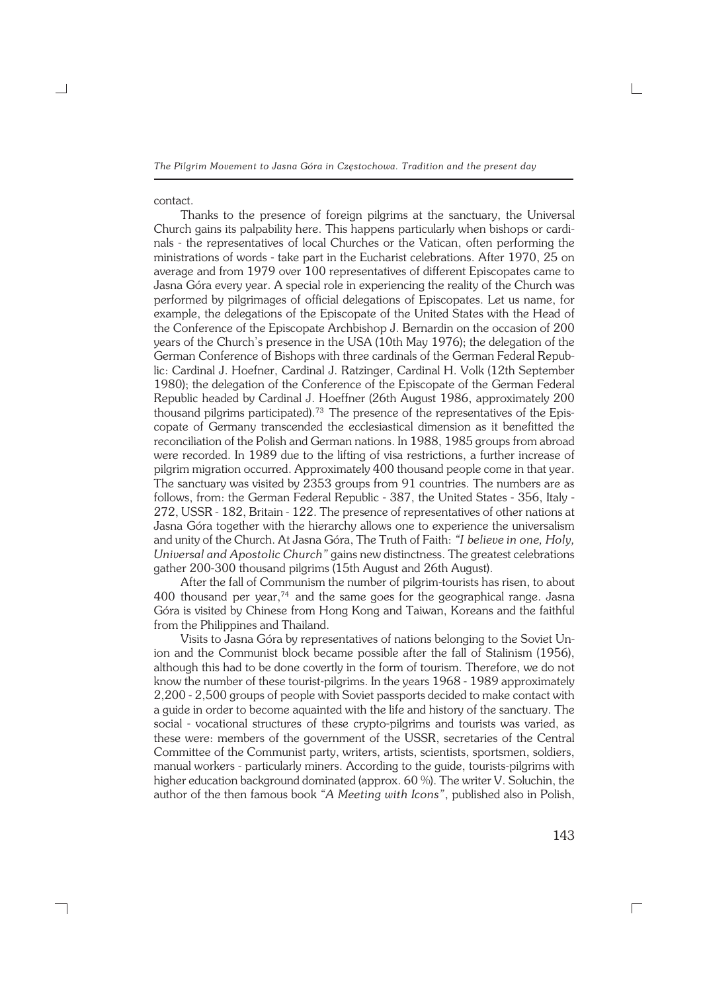### contact.

┐

Thanks to the presence of foreign pilgrims at the sanctuary, the Universal Church gains its palpability here. This happens particularly when bishops or cardi− nals - the representatives of local Churches or the Vatican, often performing the ministrations of words − take part in the Eucharist celebrations. After 1970, 25 on average and from 1979 over 100 representatives of different Episcopates came to Jasna Góra every year. A special role in experiencing the reality of the Church was performed by pilgrimages of official delegations of Episcopates. Let us name, for example, the delegations of the Episcopate of the United States with the Head of the Conference of the Episcopate Archbishop J. Bernardin on the occasion of 200 years of the Church's presence in the USA (10th May 1976); the delegation of the German Conference of Bishops with three cardinals of the German Federal Repub− lic: Cardinal J. Hoefner, Cardinal J. Ratzinger, Cardinal H. Volk (12th September 1980); the delegation of the Conference of the Episcopate of the German Federal Republic headed by Cardinal J. Hoeffner (26th August 1986, approximately 200 thousand pilgrims participated).73 The presence of the representatives of the Epis− copate of Germany transcended the ecclesiastical dimension as it benefitted the reconciliation of the Polish and German nations. In 1988, 1985 groups from abroad were recorded. In 1989 due to the lifting of visa restrictions, a further increase of pilgrim migration occurred. Approximately 400 thousand people come in that year. The sanctuary was visited by 2353 groups from 91 countries. The numbers are as follows, from: the German Federal Republic − 387, the United States − 356, Italy − 272, USSR − 182, Britain − 122. The presence of representatives of other nations at Jasna Góra together with the hierarchy allows one to experience the universalism and unity of the Church. At Jasna Góra, The Truth of Faith: "I believe in one, Holy, *Universal and Apostolic Church"* gains new distinctness. The greatest celebrations gather 200−300 thousand pilgrims (15th August and 26th August).

After the fall of Communism the number of pilgrim−tourists has risen, to about 400 thousand per year, $74$  and the same goes for the geographical range. Jasna Góra is visited by Chinese from Hong Kong and Taiwan, Koreans and the faithful from the Philippines and Thailand.

Visits to Jasna Góra by representatives of nations belonging to the Soviet Un− ion and the Communist block became possible after the fall of Stalinism (1956), although this had to be done covertly in the form of tourism. Therefore, we do not know the number of these tourist−pilgrims. In the years 1968 − 1989 approximately 2,200 − 2,500 groups of people with Soviet passports decided to make contact with a guide in order to become aquainted with the life and history of the sanctuary. The social − vocational structures of these crypto−pilgrims and tourists was varied, as these were: members of the government of the USSR, secretaries of the Central Committee of the Communist party, writers, artists, scientists, sportsmen, soldiers, manual workers − particularly miners. According to the guide, tourists−pilgrims with higher education background dominated (approx. 60 %). The writer V. Soluchin, the author of the then famous book *"A Meeting with Icons"*, published also in Polish,

143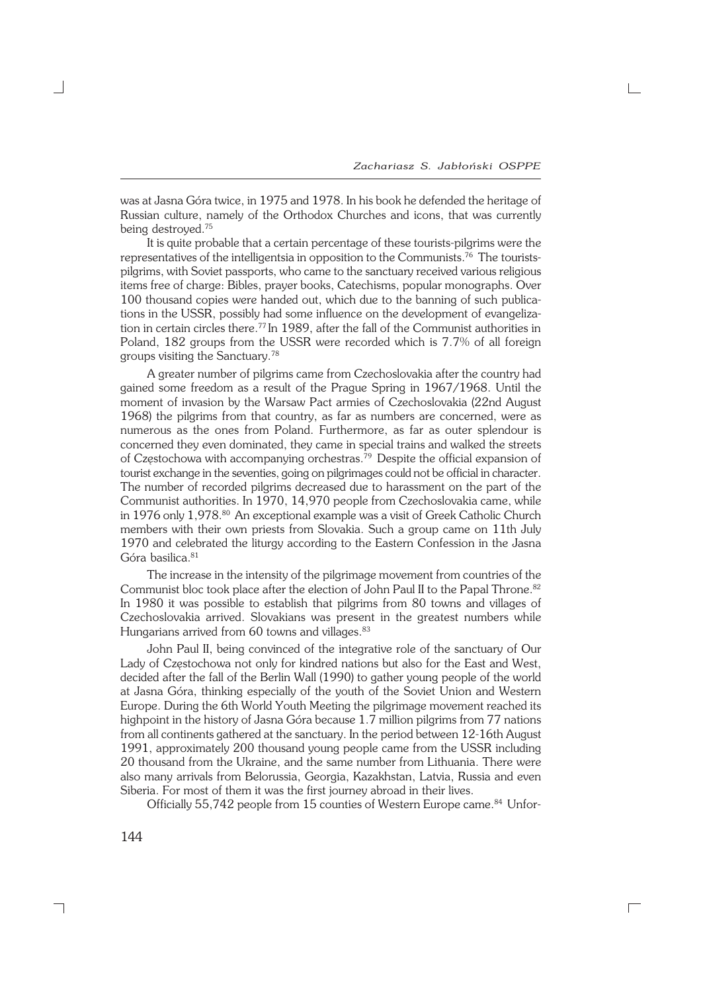was at Jasna Góra twice, in 1975 and 1978. In his book he defended the heritage of Russian culture, namely of the Orthodox Churches and icons, that was currently being destroyed.<sup>75</sup>

It is quite probable that a certain percentage of these tourists−pilgrims were the representatives of the intelligentsia in opposition to the Communists.76 The tourists− pilgrims, with Soviet passports, who came to the sanctuary received various religious items free of charge: Bibles, prayer books, Catechisms, popular monographs. Over 100 thousand copies were handed out, which due to the banning of such publica− tions in the USSR, possibly had some influence on the development of evangeliza− tion in certain circles there.<sup>77</sup> In 1989, after the fall of the Communist authorities in Poland, 182 groups from the USSR were recorded which is 7.7% of all foreign groups visiting the Sanctuary.<sup>78</sup>

A greater number of pilgrims came from Czechoslovakia after the country had gained some freedom as a result of the Prague Spring in 1967/1968. Until the moment of invasion by the Warsaw Pact armies of Czechoslovakia (22nd August 1968) the pilgrims from that country, as far as numbers are concerned, were as numerous as the ones from Poland. Furthermore, as far as outer splendour is concerned they even dominated, they came in special trains and walked the streets of Częstochowa with accompanying orchestras.79 Despite the official expansion of tourist exchange in the seventies, going on pilgrimages could not be official in character. The number of recorded pilgrims decreased due to harassment on the part of the Communist authorities. In 1970, 14,970 people from Czechoslovakia came, while in 1976 only 1,978.<sup>80</sup> An exceptional example was a visit of Greek Catholic Church members with their own priests from Slovakia. Such a group came on 11th July 1970 and celebrated the liturgy according to the Eastern Confession in the Jasna Góra basilica.<sup>81</sup>

The increase in the intensity of the pilgrimage movement from countries of the Communist bloc took place after the election of John Paul II to the Papal Throne.<sup>82</sup> In 1980 it was possible to establish that pilgrims from 80 towns and villages of Czechoslovakia arrived. Slovakians was present in the greatest numbers while Hungarians arrived from 60 towns and villages.<sup>83</sup>

John Paul II, being convinced of the integrative role of the sanctuary of Our Lady of Częstochowa not only for kindred nations but also for the East and West, decided after the fall of the Berlin Wall (1990) to gather young people of the world at Jasna Góra, thinking especially of the youth of the Soviet Union and Western Europe. During the 6th World Youth Meeting the pilgrimage movement reached its highpoint in the history of Jasna Góra because 1.7 million pilgrims from 77 nations from all continents gathered at the sanctuary. In the period between 12−16th August 1991, approximately 200 thousand young people came from the USSR including 20 thousand from the Ukraine, and the same number from Lithuania. There were also many arrivals from Belorussia, Georgia, Kazakhstan, Latvia, Russia and even Siberia. For most of them it was the first journey abroad in their lives.

Officially 55,742 people from 15 counties of Western Europe came.<sup>84</sup> Unfor-

 $\Box$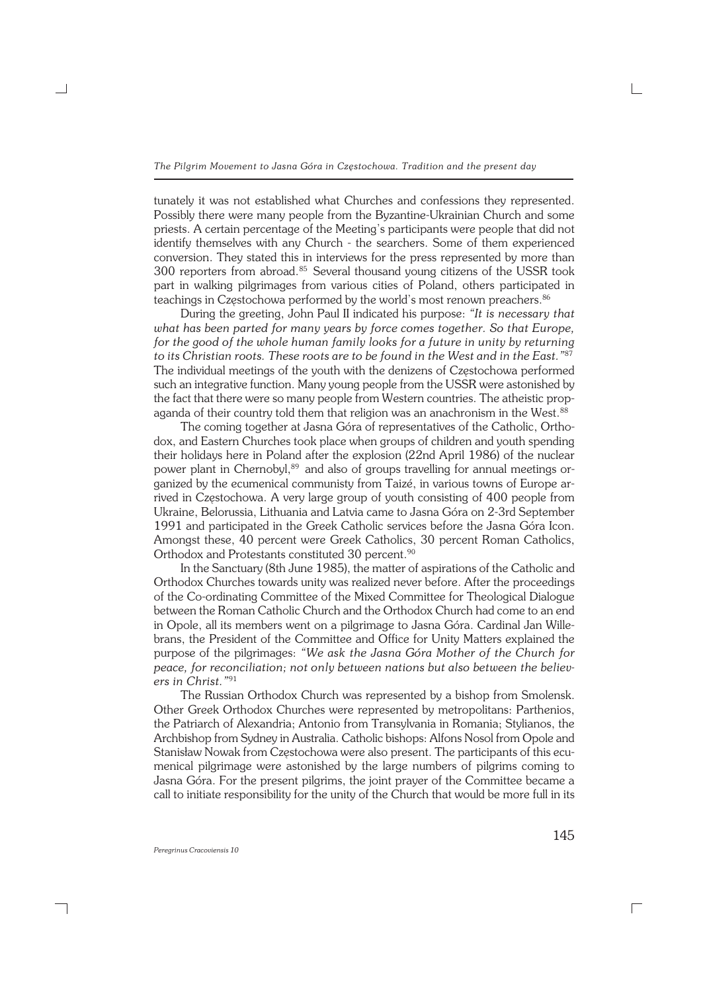tunately it was not established what Churches and confessions they represented. Possibly there were many people from the Byzantine−Ukrainian Church and some priests. A certain percentage of the Meeting's participants were people that did not identify themselves with any Church − the searchers. Some of them experienced conversion. They stated this in interviews for the press represented by more than 300 reporters from abroad.85 Several thousand young citizens of the USSR took part in walking pilgrimages from various cities of Poland, others participated in teachings in Częstochowa performed by the world's most renown preachers.<sup>86</sup>

During the greeting, John Paul II indicated his purpose: *"It is necessary that what has been parted for many years by force comes together. So that Europe, for the good of the whole human family looks for a future in unity by returning to its Christian roots. These roots are to be found in the West and in the East."*<sup>87</sup> The individual meetings of the youth with the denizens of Częstochowa performed such an integrative function. Many young people from the USSR were astonished by the fact that there were so many people from Western countries. The atheistic prop− aganda of their country told them that religion was an anachronism in the West.<sup>88</sup>

The coming together at Jasna Góra of representatives of the Catholic, Ortho− dox, and Eastern Churches took place when groups of children and youth spending their holidays here in Poland after the explosion (22nd April 1986) of the nuclear power plant in Chernobyl,<sup>89</sup> and also of groups travelling for annual meetings organized by the ecumenical communisty from Taizé, in various towns of Europe ar− rived in Częstochowa. A very large group of youth consisting of 400 people from Ukraine, Belorussia, Lithuania and Latvia came to Jasna Góra on 2−3rd September 1991 and participated in the Greek Catholic services before the Jasna Góra Icon. Amongst these, 40 percent were Greek Catholics, 30 percent Roman Catholics, Orthodox and Protestants constituted 30 percent.<sup>90</sup>

In the Sanctuary (8th June 1985), the matter of aspirations of the Catholic and Orthodox Churches towards unity was realized never before. After the proceedings of the Co−ordinating Committee of the Mixed Committee for Theological Dialogue between the Roman Catholic Church and the Orthodox Church had come to an end in Opole, all its members went on a pilgrimage to Jasna Góra. Cardinal Jan Wille− brans, the President of the Committee and Office for Unity Matters explained the purpose of the pilgrimages: *"We ask the Jasna Góra Mother of the Church for peace, for reconciliation; not only between nations but also between the believ− ers in Christ."*<sup>91</sup>

The Russian Orthodox Church was represented by a bishop from Smolensk. Other Greek Orthodox Churches were represented by metropolitans: Parthenios, the Patriarch of Alexandria; Antonio from Transylvania in Romania; Stylianos, the Archbishop from Sydney in Australia. Catholic bishops: Alfons Nosol from Opole and Stanisław Nowak from Częstochowa were also present. The participants of this ecu− menical pilgrimage were astonished by the large numbers of pilgrims coming to Jasna Góra. For the present pilgrims, the joint prayer of the Committee became a call to initiate responsibility for the unity of the Church that would be more full in its

┐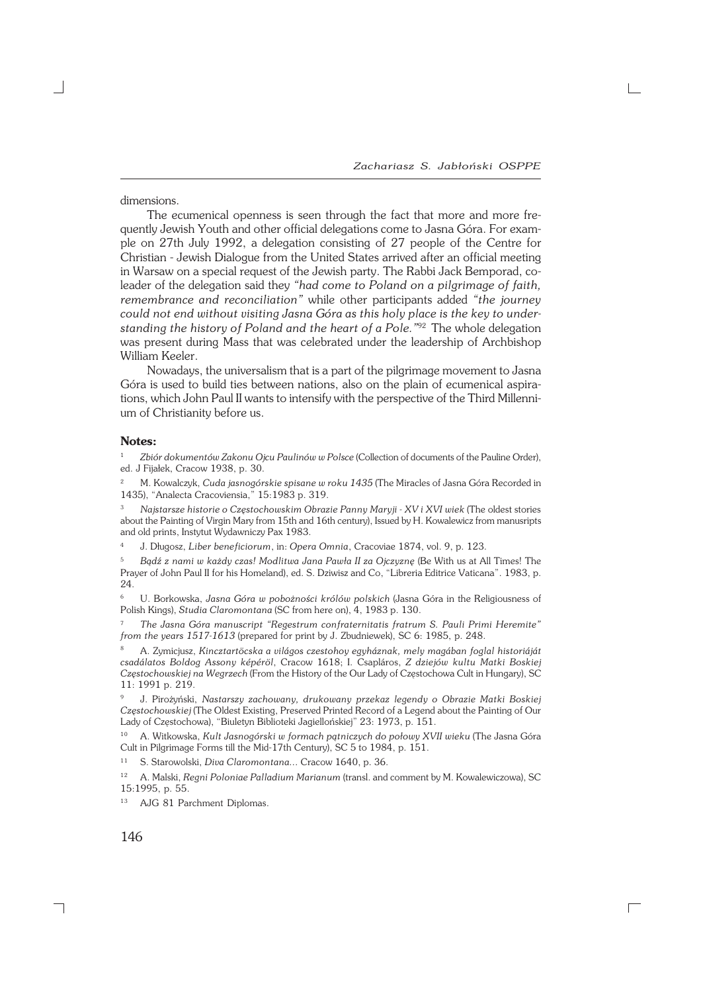*Zachariasz S. Jabłoński OSPPE*

dimensions.

The ecumenical openness is seen through the fact that more and more fre− quently Jewish Youth and other official delegations come to Jasna Góra. For example on 27th July 1992, a delegation consisting of 27 people of the Centre for Christian − Jewish Dialogue from the United States arrived after an official meeting in Warsaw on a special request of the Jewish party. The Rabbi Jack Bemporad, co− leader of the delegation said they *"had come to Poland on a pilgrimage of faith, remembrance and reconciliation"* while other participants added *"the journey could not end without visiting Jasna Góra as this holy place is the key to under− standing the history of Poland and the heart of a Pole."*92 The whole delegation was present during Mass that was celebrated under the leadership of Archbishop William Keeler.

Nowadays, the universalism that is a part of the pilgrimage movement to Jasna Góra is used to build ties between nations, also on the plain of ecumenical aspira− tions, which John Paul II wants to intensify with the perspective of the Third Millenni− um of Christianity before us.

#### **Notes:**

<sup>1</sup> *Zbiór dokumentów Zakonu Ojcu Paulinów w Polsce* (Collection of documents of the Pauline Order), ed. J Fijałek, Cracow 1938, p. 30.

<sup>2</sup> M. Kowalczyk, *Cuda jasnogórskie spisane w roku 1435* (The Miracles of Jasna Góra Recorded in 1435), "Analecta Cracoviensia," 15:1983 p. 319.

<sup>3</sup> *Najstarsze historie o Częstochowskim Obrazie Panny Maryji − XV i XVI wiek* (The oldest stories about the Painting of Virgin Mary from 15th and 16th century), Issued by H. Kowalewicz from manusripts and old prints, Instytut Wydawniczy Pax 1983.

<sup>4</sup> J. Długosz, *Liber beneficiorum*, in: *Opera Omnia*, Cracoviae 1874, vol. 9, p. 123.

<sup>5</sup> *Bądź z nami w każdy czas! Modlitwa Jana Pawła II za Ojczyznę* (Be With us at All Times! The Prayer of John Paul II for his Homeland), ed. S. Dziwisz and Co, "Libreria Editrice Vaticana". 1983, p. 24.

<sup>6</sup> U. Borkowska, *Jasna Góra w pobożności królów polskich* (Jasna Góra in the Religiousness of Polish Kings), *Studia Claromontana* (SC from here on), 4, 1983 p. 130.

<sup>7</sup> *The Jasna Góra manuscript "Regestrum confraternitatis fratrum S. Pauli Primi Heremite" from the years 1517−1613* (prepared for print by J. Zbudniewek), SC 6: 1985, p. 248.

<sup>8</sup> A. Zymicjusz, *Kincztartöcska a világos czestohoy egyháznak, mely magában foglal historiáját csadálatos Boldog Assony képéröl*, Cracow 1618; I. Csapláros, *Z dziejów kultu Matki Boskiej Częstochowskiej na Wegrzech* (From the History of the Our Lady of Częstochowa Cult in Hungary), SC 11: 1991 p. 219.

<sup>9</sup> J. Pirożyński, *Nastarszy zachowany, drukowany przekaz legendy o Obrazie Matki Boskiej Częstochowskiej* (The Oldest Existing, Preserved Printed Record of a Legend about the Painting of Our Lady of Częstochowa), "Biuletyn Biblioteki Jagiellońskiej" 23: 1973, p. 151.

<sup>10</sup> A. Witkowska, *Kult Jasnogórski w formach pątniczych do połowy XVII wieku* (The Jasna Góra Cult in Pilgrimage Forms till the Mid−17th Century), SC 5 to 1984, p. 151.

<sup>11</sup> S. Starowolski, *Diva Claromontana...* Cracow 1640, p. 36.

<sup>12</sup> A. Malski, *Regni Poloniae Palladium Marianum* (transl. and comment by M. Kowalewiczowa), SC 15:1995, p. 55.

 $\Box$ 

<sup>13</sup> AJG 81 Parchment Diplomas.

146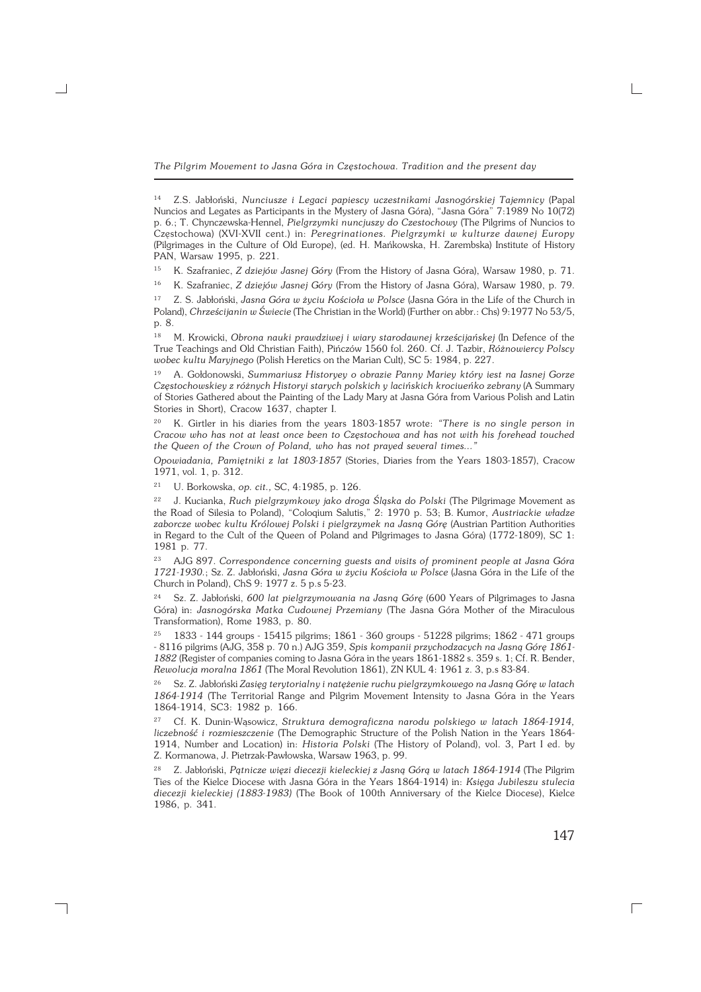<sup>15</sup> K. Szafraniec, *Z dziejów Jasnej Góry* (From the History of Jasna Góra), Warsaw 1980, p. 71.

<sup>16</sup> K. Szafraniec, *Z dziejów Jasnej Góry* (From the History of Jasna Góra), Warsaw 1980, p. 79.

<sup>17</sup> Z. S. Jabłoński, *Jasna Góra w życiu Kościoła w Polsce* (Jasna Góra in the Life of the Church in Poland), *Chrześcijanin w Świecie* (The Christian in the World) (Further on abbr.: Chs) 9:1977 No 53/5, p. 8.

<sup>18</sup> M. Krowicki, *Obrona nauki prawdziwej i wiary starodawnej krześcijańskej* (In Defence of the True Teachings and Old Christian Faith), Pińczów 1560 fol. 260. Cf. J. Tazbir, *Różnowiercy Polscy wobec kultu Maryjnego* (Polish Heretics on the Marian Cult), SC 5: 1984, p. 227.

<sup>19</sup> A. Gołdonowski, *Summariusz Historyey o obrazie Panny Mariey który iest na Iasnej Gorze Częstochowskiey z różnych Historyi starych polskich y lacińskich krociueńko zebrany* (A Summary of Stories Gathered about the Painting of the Lady Mary at Jasna Góra from Various Polish and Latin Stories in Short), Cracow 1637, chapter I.

<sup>20</sup> K. Girtler in his diaries from the years 1803−1857 wrote: *"There is no single person in Cracow who has not at least once been to Częstochowa and has not with his forehead touched the Queen of the Crown of Poland, who has not prayed several times..."*

*Opowiadania, Pamiętniki z lat 1803−1857* (Stories, Diaries from the Years 1803−1857), Cracow 1971, vol. 1, p. 312.

<sup>21</sup> U. Borkowska, *op. cit.,* SC, 4:1985, p. 126.

┑

<sup>22</sup> J. Kucianka, *Ruch pielgrzymkowy jako droga Śląska do Polski* (The Pilgrimage Movement as the Road of Silesia to Poland), "Coloqium Salutis," 2: 1970 p. 53; B.Kumor, *Austriackie władze* zaborcze wobec kultu Królowej Polski i pielgrzymek na Jasną Górę (Austrian Partition Authorities in Regard to the Cult of the Queen of Poland and Pilgrimages to Jasna Góra) (1772−1809), SC 1: 1981 p. 77.

<sup>23</sup> AJG 897. *Correspondence concerning guests and visits of prominent people at Jasna Góra 1721−1930.*; Sz. Z. Jabłoński, *Jasna Góra w życiu Kościoła w Polsce* (Jasna Góra in the Life of the Church in Poland), ChS 9: 1977 z. 5 p.s 5−23.

<sup>24</sup> Sz. Z. Jabłoński, *600 lat pielgrzymowania na Jasną Górę* (600 Years of Pilgrimages to Jasna Góra) in: *Jasnogórska Matka Cudownej Przemiany* (The Jasna Góra Mother of the Miraculous Transformation), Rome 1983, p. 80.

<sup>25</sup> 1833 − 144 groups − 15415 pilgrims; 1861 − 360 groups − 51228 pilgrims; 1862 − 471 groups − 8116 pilgrims (AJG, 358 p. 70 n.) AJG 359, *Spis kompanii przychodzacych na Jasną Górę 1861− 1882* (Register of companies coming to Jasna Góra in the years 1861−1882 s. 359 s. 1; Cf. R. Bender, *Rewolucja moralna 1861* (The Moral Revolution 1861), ZN KUL 4: 1961 z. 3, p.s 83−84.

<sup>26</sup> Sz. Z. Jabłoński *Zasięg terytorialny i natężenie ruchu pielgrzymkowego na Jasną Górę w latach 1864−1914* (The Territorial Range and Pilgrim Movement Intensity to Jasna Góra in the Years 1864−1914, SC3: 1982 p. 166.

<sup>27</sup> Cf. K. Dunin−Wąsowicz, *Struktura demograficzna narodu polskiego w latach 1864−1914, liczebność i rozmieszczenie* (The Demographic Structure of the Polish Nation in the Years 1864− 1914, Number and Location) in: *Historia Polski* (The History of Poland), vol. 3, Part I ed. by Z.Kormanowa, J. Pietrzak−Pawłowska, Warsaw 1963, p. 99.

<sup>28</sup> Z. Jabłoński, *Pątnicze więzi diecezji kieleckiej z Jasną Górą w latach 1864−1914* (The Pilgrim Ties of the Kielce Diocese with Jasna Góra in the Years 1864−1914) in: *Księga Jubileszu stulecia diecezji kieleckiej (1883−1983)* (The Book of 100th Anniversary of the Kielce Diocese), Kielce 1986, p. 341.

147

<sup>14</sup> Z.S. Jabłoński, *Nunciusze i Legaci papiescy uczestnikami Jasnogórskiej Tajemnicy* (Papal Nuncios and Legates as Participants in the Mystery of Jasna Góra), "Jasna Góra" 7:1989 No 10(72) p. 6.; T. Chynczewska−Hennel, *Pielgrzymki nuncjuszy do Czestochowy* (The Pilgrims of Nuncios to Częstochowa) (XVI−XVII cent.) in: *Peregrinationes. Pielgrzymki w kulturze dawnej Europy* (Pilgrimages in the Culture of Old Europe), (ed. H. Mańkowska, H. Zarembska) Institute of History PAN, Warsaw 1995, p. 221.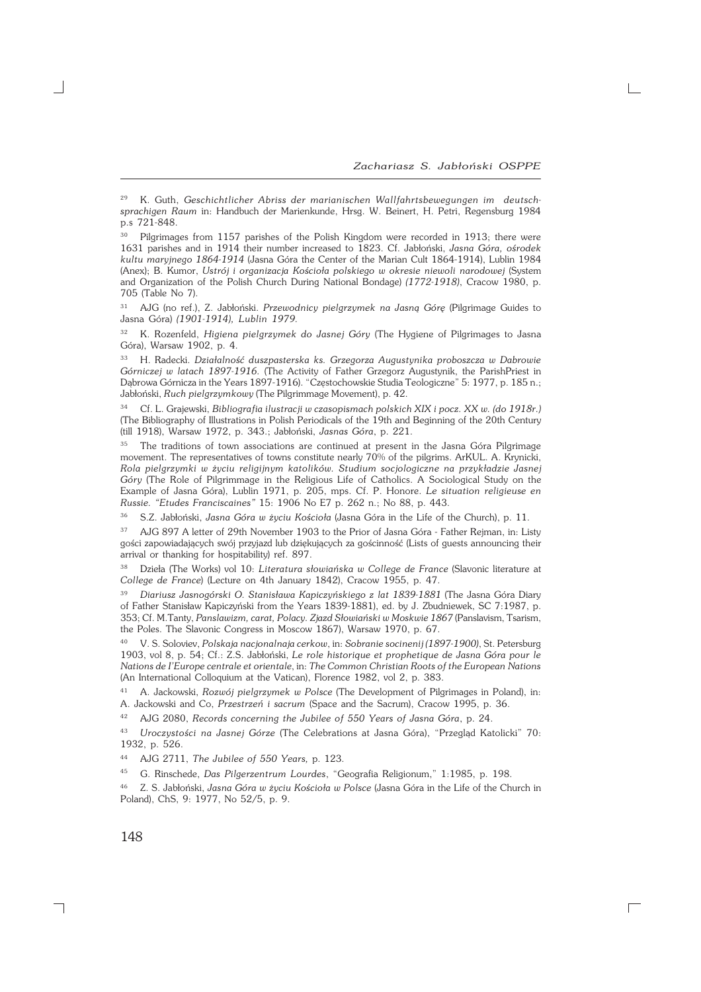<sup>29</sup> K. Guth, *Geschichtlicher Abriss der marianischen Wallfahrtsbewegungen im deutsch− sprachigen Raum* in: Handbuch der Marienkunde, Hrsg. W. Beinert, H. Petri, Regensburg 1984 p.s 721−848.

<sup>30</sup> Pilgrimages from 1157 parishes of the Polish Kingdom were recorded in 1913; there were 1631 parishes and in 1914 their number increased to 1823. Cf. Jabłoński, *Jasna Góra, ośrodek kultu maryjnego 1864−1914* (Jasna Góra the Center of the Marian Cult 1864−1914), Lublin 1984 (Anex); B. Kumor, *Ustrój i organizacja Kościoła polskiego w okresie niewoli narodowej* (System and Organization of the Polish Church During National Bondage) *(1772−1918)*, Cracow 1980, p. 705 (Table No 7).

<sup>31</sup> AJG (no ref.), Z. Jabłoński. *Przewodnicy pielgrzymek na Jasną Górę* (Pilgrimage Guides to Jasna Góra) *(1901−1914), Lublin 1979.*

<sup>32</sup> K. Rozenfeld, *Higiena pielgrzymek do Jasnej Góry* (The Hygiene of Pilgrimages to Jasna Góra), Warsaw 1902, p. 4.

<sup>33</sup> H. Radecki. *Działalność duszpasterska ks. Grzegorza Augustynika proboszcza w Dabrowie Górniczej w latach 1897−1916.* (The Activity of Father Grzegorz Augustynik, the ParishPriest in Dąbrowa Górnicza in the Years 1897−1916). "Częstochowskie Studia Teologiczne" 5: 1977, p. 185 n.; Jabłoński, *Ruch pielgrzymkowy* (The Pilgrimmage Movement), p. 42.

<sup>34</sup> Cf. L. Grajewski, *Bibliografia ilustracji w czasopismach polskich XIX i pocz. XX w. (do 1918r.)* (The Bibliography of Illustrations in Polish Periodicals of the 19th and Beginning of the 20th Century (till 1918), Warsaw 1972, p. 343.; Jabłoński, *Jasnas Góra*, p. 221.

<sup>35</sup> The traditions of town associations are continued at present in the Jasna Góra Pilgrimage movement. The representatives of towns constitute nearly 70% of the pilgrims. ArKUL. A. Krynicki, *Rola pielgrzymki w życiu religijnym katolików. Studium socjologiczne na przykładzie Jasnej Góry* (The Role of Pilgrimmage in the Religious Life of Catholics. A Sociological Study on the Example of Jasna Góra), Lublin 1971, p. 205, mps. Cf. P. Honore. *Le situation religieuse en Russie. "Etudes Franciscaines"* 15: 1906 No E7 p. 262 n.; No 88, p. 443.

<sup>36</sup> S.Z. Jabłoński, *Jasna Góra w życiu Kościoła* (Jasna Góra in the Life of the Church), p. 11.

37 AJG 897 A letter of 29th November 1903 to the Prior of Jasna Góra - Father Rejman, in: Listy gości zapowiadających swój przyjazd lub dziękujących za gościnność (Lists of guests announcing their arrival or thanking for hospitability) ref. 897.

<sup>38</sup> Dzieła (The Works) vol 10: *Literatura słowiańska w College de France* (Slavonic literature at *College de France*) (Lecture on 4th January 1842), Cracow 1955, p. 47.

<sup>39</sup> *Diariusz Jasnogórski O. Stanisława Kapiczyńskiego z lat 1839−1881* (The Jasna Góra Diary of Father Stanisław Kapiczyński from the Years 1839−1881), ed. by J. Zbudniewek, SC 7:1987, p. 353; Cf. M.Tanty, *Panslawizm, carat, Polacy. Zjazd Słowiański w Moskwie 1867* (Panslavism, Tsarism, the Poles. The Slavonic Congress in Moscow 1867), Warsaw 1970, p. 67.

<sup>40</sup> V. S. Soloviev, *Polskaja nacjonalnaja cerkow*, in: *Sobranie socinenij (1897−1900)*, St. Petersburg 1903, vol 8, p. 54; Cf.: Z.S. Jabłoński, *Le role historique et prophetique de Jasna Góra pour le Nations de I'Europe centrale et orientale*, in: *The Common Christian Roots of the European Nations* (An International Colloquium at the Vatican), Florence 1982, vol 2, p. 383.

<sup>41</sup> A. Jackowski, *Rozwój pielgrzymek w Polsce* (The Development of Pilgrimages in Poland), in: A. Jackowski and Co, *Przestrzeń i sacrum* (Space and the Sacrum), Cracow 1995, p. 36.

<sup>42</sup> AJG 2080, *Records concerning the Jubilee of 550 Years of Jasna Góra*, p. 24.

<sup>43</sup> *Uroczystości na Jasnej Górze* (The Celebrations at Jasna Góra), "Przegląd Katolicki" 70: 1932, p. 526.

<sup>44</sup> AJG 2711, *The Jubilee of 550 Years,* p. 123.

<sup>45</sup> G. Rinschede, *Das Pilgerzentrum Lourdes*, "Geografia Religionum," 1:1985, p. 198.

<sup>46</sup> Z. S. Jabłoński, *Jasna Góra w życiu Kościoła w Polsce* (Jasna Góra in the Life of the Church in Poland), ChS, 9: 1977, No 52/5, p. 9.

 $\Gamma$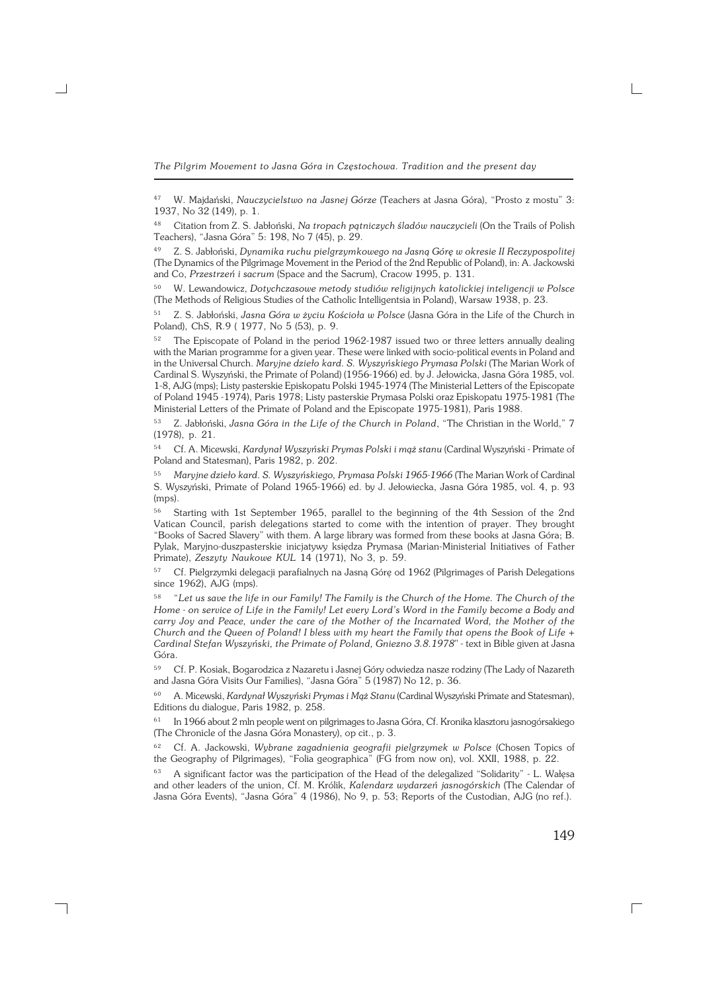<sup>47</sup> W. Majdański, *Nauczycielstwo na Jasnej Górze* (Teachers at Jasna Góra), "Prosto z mostu" 3: 1937, No 32 (149), p. 1.

<sup>48</sup> Citation from Z. S. Jabłoński, *Na tropach pątniczych śladów nauczycieli* (On the Trails of Polish Teachers), "Jasna Góra" 5: 198, No 7 (45), p. 29.

<sup>49</sup> Z. S. Jabłoński, *Dynamika ruchu pielgrzymkowego na Jasną Górę w okresie II Reczypospolitej* (The Dynamics of the Pilgrimage Movement in the Period of the 2nd Republic of Poland), in: A. Jackowski and Co, *Przestrzeń i sacrum* (Space and the Sacrum), Cracow 1995, p. 131.

<sup>50</sup> W. Lewandowicz, *Dotychczasowe metody studiów religijnych katolickiej inteligencji w Polsce* (The Methods of Religious Studies of the Catholic Intelligentsia in Poland), Warsaw 1938, p. 23.

<sup>51</sup> Z. S. Jabłoński, *Jasna Góra w życiu Kościoła w Polsce* (Jasna Góra in the Life of the Church in Poland), ChS, R.9 ( 1977, No 5 (53), p. 9.

<sup>52</sup> The Episcopate of Poland in the period 1962−1987 issued two or three letters annually dealing with the Marian programme for a given year. These were linked with socio−political events in Poland and in the Universal Church. *Maryjne dzieło kard. S. Wyszyńskiego Prymasa Polski* (The Marian Work of Cardinal S. Wyszyński, the Primate of Poland) (1956−1966) ed. by J. Jełowicka, Jasna Góra 1985, vol. 1−8, AJG (mps); Listy pasterskie Episkopatu Polski 1945−1974 (The Ministerial Letters of the Episcopate of Poland 1945 −1974), Paris 1978; Listy pasterskie Prymasa Polski oraz Episkopatu 1975−1981 (The Ministerial Letters of the Primate of Poland and the Episcopate 1975−1981), Paris 1988.

<sup>53</sup> Z. Jabłoński, *Jasna Góra in the Life of the Church in Poland*, "The Christian in the World," 7 (1978), p. 21.

<sup>54</sup> Cf. A. Micewski, *Kardynał Wyszyński Prymas Polski i mąż stanu* (Cardinal Wyszyński − Primate of Poland and Statesman), Paris 1982, p. 202.

<sup>55</sup> *Maryjne dzieło kard. S. Wyszyńskiego, Prymasa Polski 1965−1966* (The Marian Work of Cardinal S. Wyszyński, Primate of Poland 1965−1966) ed. by J.Jełowiecka, Jasna Góra 1985, vol. 4, p. 93 (mps).

<sup>56</sup> Starting with 1st September 1965, parallel to the beginning of the 4th Session of the 2nd Vatican Council, parish delegations started to come with the intention of prayer. They brought "Books of Sacred Slavery" with them. A large library was formed from these books at Jasna Góra; B. Pylak, Maryjno−duszpasterskie inicjatywy księdza Prymasa (Marian−Ministerial Initiatives of Father Primate), *Zeszyty Naukowe KUL* 14 (1971), No 3, p. 59.

<sup>57</sup> Cf. Pielgrzymki delegacji parafialnych na Jasną Górę od 1962 (Pilgrimages of Parish Delegations since 1962), AJG (mps).

<sup>58</sup> "*Let us save the life in our Family! The Family is the Church of the Home. The Church of the Home − on service of Life in the Family! Let every Lord's Word in the Family become a Body and carry Joy and Peace, under the care of the Mother of the Incarnated Word, the Mother of the Church and the Queen of Poland! I bless with my heart the Family that opens the Book of Life + Cardinal Stefan Wyszyński, the Primate of Poland, Gniezno 3.8.1978*" − text in Bible given at Jasna Góra.

<sup>59</sup> Cf. P. Kosiak, Bogarodzica z Nazaretu i Jasnej Góry odwiedza nasze rodziny (The Lady of Nazareth and Jasna Góra Visits Our Families), "Jasna Góra" 5 (1987) No 12, p. 36.

<sup>60</sup> A. Micewski, *Kardynał Wyszyński Prymas i Mąż Stanu* (Cardinal Wyszyński Primate and Statesman), Editions du dialogue, Paris 1982, p. 258.

<sup>61</sup> In 1966 about 2 mln people went on pilgrimages to Jasna Góra, Cf. Kronika klasztoru jasnogórsakiego (The Chronicle of the Jasna Góra Monastery), op cit., p. 3.

<sup>62</sup> Cf. A. Jackowski, *Wybrane zagadnienia geografii pielgrzymek w Polsce* (Chosen Topics of the Geography of Pilgrimages), "Folia geographica" (FG from now on), vol. XXII, 1988, p. 22.

<sup>63</sup> A significant factor was the participation of the Head of the delegalized "Solidarity" − L. Wałęsa and other leaders of the union, Cf. M. Królik, *Kalendarz wydarzeń jasnogórskich* (The Calendar of Jasna Góra Events), "Jasna Góra" 4 (1986), No 9, p. 53; Reports of the Custodian, AJG (no ref.).

┑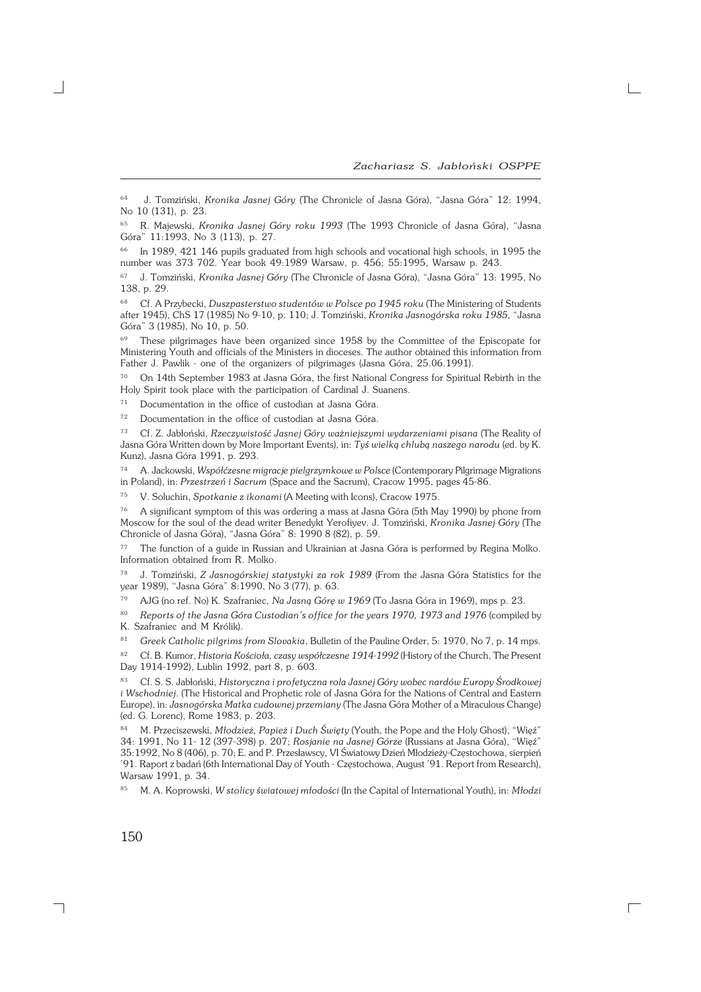<sup>64</sup> J. Tomziński, *Kronika Jasnej Góry* (The Chronicle of Jasna Góra), "Jasna Góra" 12: 1994, No 10 (131), p. 23.

<sup>65</sup> R. Majewski, *Kronika Jasnej Góry roku 1993* (The 1993 Chronicle of Jasna Góra), "Jasna Góra" 11:1993, No 3 (113), p. 27.

In 1989, 421 146 pupils graduated from high schools and vocational high schools, in 1995 the number was 373 702. Year book 49:1989 Warsaw, p. 456; 55:1995, Warsaw p. 243.

<sup>67</sup> J. Tomziński, *Kronika Jasnej Góry* (The Chronicle of Jasna Góra), "Jasna Góra" 13: 1995, No 138, p. 29.

<sup>68</sup> Cf. A Przybecki, *Duszpasterstwo studentów w Polsce po 1945 roku* (The Ministering of Students after 1945), ChS 17 (1985) No 9−10, p. 110; J. Tomziński, *Kronika Jasnogórska roku 1985,* "Jasna Góra" 3 (1985), No 10, p. 50.

<sup>69</sup> These pilgrimages have been organized since 1958 by the Committee of the Episcopate for Ministering Youth and officials of the Ministers in dioceses. The author obtained this information from Father J. Pawlik − one of the organizers of pilgrimages (Jasna Góra, 25.06.1991).

<sup>70</sup> On 14th September 1983 at Jasna Góra, the first National Congress for Spiritual Rebirth in the Holy Spirit took place with the participation of Cardinal J. Suanens.

<sup>71</sup> Documentation in the office of custodian at Jasna Góra.

<sup>72</sup> Documentation in the office of custodian at Jasna Góra.

<sup>73</sup> Cf. Z. Jabłoński, *Rzeczywistość Jasnej Góry ważniejszymi wydarzeniami pisana* (The Reality of Jasna Góra Written down by More Important Events), in: *Tyś wielką chlubą naszego narodu* (ed. by K. Kunz), Jasna Góra 1991, p. 293.

<sup>74</sup> A. Jackowski, *Współćzesne migracje pielgrzymkowe w Polsce* (Contemporary Pilgrimage Migrations in Poland), in: *Przestrzeń i Sacrum* (Space and the Sacrum), Cracow 1995, pages 45−86.

<sup>75</sup> V. Soluchin, *Spotkanie z ikonami* (A Meeting with Icons), Cracow 1975.

<sup>76</sup> A significant symptom of this was ordering a mass at Jasna Góra (5th May 1990) by phone from Moscow for the soul of the dead writer Benedykt Yerofiyev. J. Tomziński, *Kronika Jasnej Góry* (The Chronicle of Jasna Góra), "Jasna Góra" 8: 1990 8 (82), p. 59.

<sup>77</sup> The function of a guide in Russian and Ukrainian at Jasna Góra is performed by Regina Molko. Information obtained from R. Molko.

<sup>78</sup> J. Tomziński, *Z Jasnogórskiej statystyki za rok 1989* (From the Jasna Góra Statistics for the year 1989), "Jasna Góra" 8:1990, No 3 (77), p. 63.

<sup>79</sup> AJG (no ref. No) K. Szafraniec, *Na Jasną Górę w 1969* (To Jasna Góra in 1969), mps p. 23.

<sup>80</sup> *Reports of the Jasna Góra Custodian's office for the years 1970, 1973 and 1976* (compiled by K. Szafraniec and M Królik).

<sup>81</sup> *Greek Catholic pilgrims from Slovakia*, Bulletin of the Pauline Order, 5: 1970, No 7, p. 14 mps.

<sup>82</sup> Cf. B. Kumor, *Historia Kościoła, czasy współczesne 1914−1992* (History of the Church, The Present Day 1914−1992), Lublin 1992, part 8, p. 603.

<sup>83</sup> Cf. S. S. Jabłoński, *Historyczna i profetyczna rola Jasnej Góry wobec nardów Europy Środkowej i Wschodniej*. (The Historical and Prophetic role of Jasna Góra for the Nations of Central and Eastern Europe), in: *Jasnogórska Matka cudownej przemiany* (The Jasna Góra Mother of a Miraculous Change) (ed. G. Lorenc), Rome 1983, p. 203.

<sup>84</sup> M. Przeciszewski, *Młodzież, Papież i Duch Święty* (Youth, the Pope and the Holy Ghost), "Więź" 34: 1991, No 11− 12 (397−398) p. 207; *Rosjanie na Jasnej Górze* (Russians at Jasna Góra), "Więź" 35:1992, No 8 (406), p. 70; E. and P. Przesławscy, VI Światowy Dzień Młodzieży−Częstochowa, sierpień '91. Raport z badań (6th International Day of Youth − Częstochowa, August '91. Report from Research), Warsaw 1991, p. 34.

<sup>85</sup> M. A. Koprowski, *W stolicy światowej młodości* (In the Capital of International Youth), in: *Młodzi*

 $\Gamma$